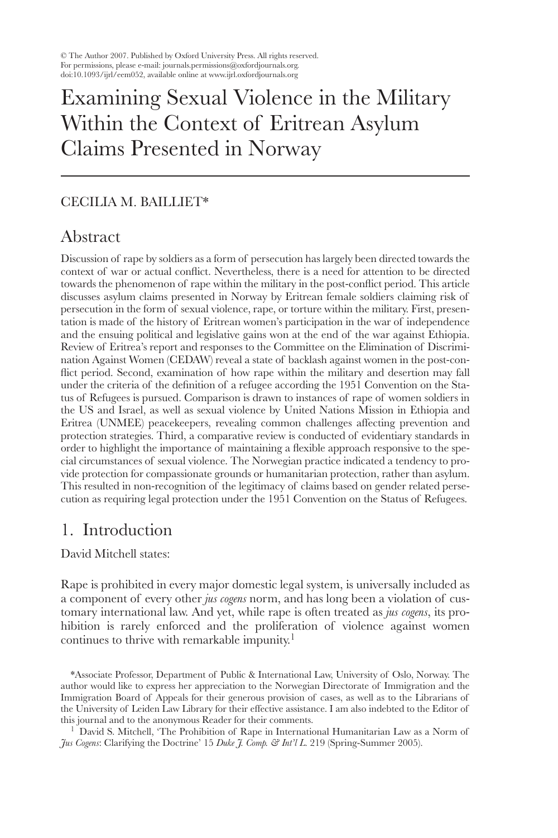# Examining Sexual Violence in the Military Within the Context of Eritrean Asylum Claims Presented in Norway

## CECILIA M. BAILLIET\*

## Abstract

 Discussion of rape by soldiers as a form of persecution has largely been directed towards the context of war or actual conflict. Nevertheless, there is a need for attention to be directed towards the phenomenon of rape within the military in the post-conflict period. This article discusses asylum claims presented in Norway by Eritrean female soldiers claiming risk of persecution in the form of sexual violence, rape, or torture within the military. First, presentation is made of the history of Eritrean women's participation in the war of independence and the ensuing political and legislative gains won at the end of the war against Ethiopia. Review of Eritrea's report and responses to the Committee on the Elimination of Discrimination Against Women (CEDAW) reveal a state of backlash against women in the post-conflict period. Second, examination of how rape within the military and desertion may fall under the criteria of the definition of a refugee according the 1951 Convention on the Status of Refugees is pursued. Comparison is drawn to instances of rape of women soldiers in the US and Israel, as well as sexual violence by United Nations Mission in Ethiopia and Eritrea (UNMEE) peacekeepers, revealing common challenges affecting prevention and protection strategies. Third, a comparative review is conducted of evidentiary standards in order to highlight the importance of maintaining a flexible approach responsive to the special circumstances of sexual violence. The Norwegian practice indicated a tendency to provide protection for compassionate grounds or humanitarian protection, rather than asylum. This resulted in non-recognition of the legitimacy of claims based on gender related persecution as requiring legal protection under the 1951 Convention on the Status of Refugees.

## 1. Introduction

David Mitchell states:

 Rape is prohibited in every major domestic legal system, is universally included as a component of every other *jus cogens* norm, and has long been a violation of customary international law. And yet, while rape is often treated as *jus cogens* , its prohibition is rarely enforced and the proliferation of violence against women continues to thrive with remarkable impunity.<sup>1</sup>

 <sup>\*</sup> Associate Professor, Department of Public & International Law, University of Oslo, Norway. The author would like to express her appreciation to the Norwegian Directorate of Immigration and the Immigration Board of Appeals for their generous provision of cases, as well as to the Librarians of the University of Leiden Law Library for their effective assistance. I am also indebted to the Editor of this journal and to the anonymous Reader for their comments.

<sup>&</sup>lt;sup>1</sup> David S. Mitchell, 'The Prohibition of Rape in International Humanitarian Law as a Norm of *Jus Cogens*: Clarifying the Doctrine' 15 *Duke 7. Comp.*  $\mathcal{B}$  *Int'l L.* 219 (Spring-Summer 2005).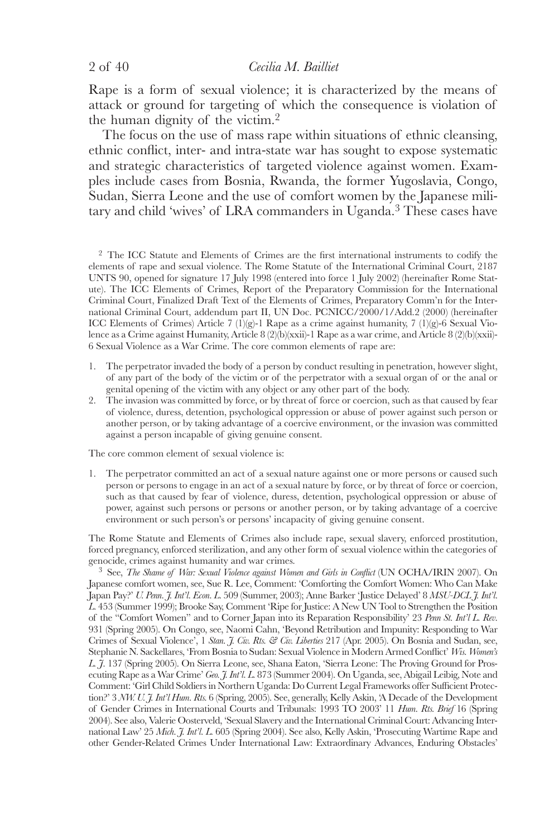Rape is a form of sexual violence; it is characterized by the means of attack or ground for targeting of which the consequence is violation of the human dignity of the victim. 2

 The focus on the use of mass rape within situations of ethnic cleansing, ethnic conflict, inter- and intra-state war has sought to expose systematic and strategic characteristics of targeted violence against women. Examples include cases from Bosnia, Rwanda, the former Yugoslavia, Congo, Sudan, Sierra Leone and the use of comfort women by the Japanese military and child 'wives' of LRA commanders in Uganda.<sup>3</sup> These cases have

 $2$  The ICC Statute and Elements of Crimes are the first international instruments to codify the elements of rape and sexual violence. The Rome Statute of the International Criminal Court, 2187 UNTS 90, opened for signature 17 July 1998 (entered into force 1 July 2002) (hereinafter Rome Statute). The ICC Elements of Crimes, Report of the Preparatory Commission for the International Criminal Court, Finalized Draft Text of the Elements of Crimes, Preparatory Comm'n for the International Criminal Court, addendum part II, UN Doc. PCNICC/2000/1/Add.2 (2000) (hereinafter ICC Elements of Crimes) Article 7 (1)(g)-1 Rape as a crime against humanity, 7 (1)(g)-6 Sexual Violence as a Crime against Humanity, Article 8 (2)(b)(xxii)-1 Rape as a war crime, and Article 8 (2)(b)(xxii)- 6 Sexual Violence as a War Crime. The core common elements of rape are:

- 1.The perpetrator invaded the body of a person by conduct resulting in penetration, however slight, of any part of the body of the victim or of the perpetrator with a sexual organ of or the anal or genital opening of the victim with any object or any other part of the body.
- 2. The invasion was committed by force, or by threat of force or coercion, such as that caused by fear of violence, duress, detention, psychological oppression or abuse of power against such person or another person, or by taking advantage of a coercive environment, or the invasion was committed against a person incapable of giving genuine consent.

The core common element of sexual violence is:

 1. The perpetrator committed an act of a sexual nature against one or more persons or caused such person or persons to engage in an act of a sexual nature by force, or by threat of force or coercion, such as that caused by fear of violence, duress, detention, psychological oppression or abuse of power, against such persons or persons or another person, or by taking advantage of a coercive environment or such person's or persons' incapacity of giving genuine consent.

 The Rome Statute and Elements of Crimes also include rape, sexual slavery, enforced prostitution, forced pregnancy, enforced sterilization, and any other form of sexual violence within the categories of

<sup>3</sup> See, *The Shame of War: Sexual Violence against Women and Girls in Conflict* (UN OCHA/IRIN 2007). On Japanese comfort women, see, Sue R. Lee, Comment: ' Comforting the Comfort Women: Who Can Make Japan Pay? ' *U. Penn. J. Int'l. Econ. L* . 509 (Summer, 2003); Anne Barker ' Justice Delayed ' 8 *MSU-DCL J. Int'l. L*. 453 (Summer 1999); Brooke Say, Comment 'Ripe for Justice: A New UN Tool to Strengthen the Position of the " Comfort Women " and to Corner Japan into its Reparation Responsibility ' 23 *Penn St. Int'l L. Rev* . 931 (Spring 2005). On Congo, see, Naomi Cahn, ' Beyond Retribution and Impunity: Responding to War Crimes of Sexual Violence', 1 *Stan. J. Civ. Rts. & Civ. Liberties* 217 (Apr. 2005). On Bosnia and Sudan, see, Stephanie N. Sackellares, 'From Bosnia to Sudan: Sexual Violence in Modern Armed Conflict' Wis. Women's *L. J* . 137 (Spring 2005). On Sierra Leone, see, Shana Eaton, ' Sierra Leone: The Proving Ground for Prosecuting Rape as a War Crime' *Geo. J. Int'l. L.* 873 (Summer 2004). On Uganda, see, Abigail Leibig, Note and Comment: 'Girl Child Soldiers in Northern Uganda: Do Current Legal Frameworks offer Sufficient Protection?'  $3 NW. U. \tilde{j}$ . *Int'l Hum. Rts.* 6 (Spring, 2005). See, generally, Kelly Askin, 'A Decade of the Development of Gender Crimes in International Courts and Tribunals: 1993 TO 2003 ' 11 *Hum. Rts. Brief* 16 (Spring 2004). See also, Valerie Oosterveld, ' Sexual Slavery and the International Criminal Court: Advancing International Law' 25 *Mich. J. Int'l. L.* 605 (Spring 2004). See also, Kelly Askin, 'Prosecuting Wartime Rape and other Gender-Related Crimes Under International Law: Extraordinary Advances, Enduring Obstacles '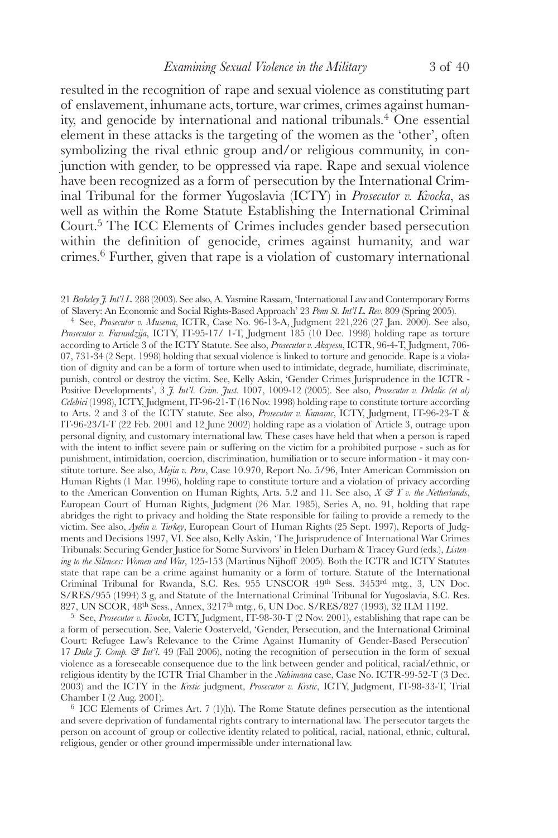resulted in the recognition of rape and sexual violence as constituting part of enslavement, inhumane acts, torture, war crimes, crimes against humanity, and genocide by international and national tribunals. 4 One essential element in these attacks is the targeting of the women as the 'other', often symbolizing the rival ethnic group and/or religious community, in conjunction with gender, to be oppressed via rape. Rape and sexual violence have been recognized as a form of persecution by the International Criminal Tribunal for the former Yugoslavia (ICTY) in *Prosecutor v. Kvocka* , as well as within the Rome Statute Establishing the International Criminal Court. 5 The ICC Elements of Crimes includes gender based persecution within the definition of genocide, crimes against humanity, and war crimes. 6 Further, given that rape is a violation of customary international

<sup>4</sup> See, *Prosecutor v. Musema*, ICTR, Case No. 96-13-A, Judgment 221,226 (27 Jan. 2000). See also, *Prosecutor v. Furundzija* , ICTY, IT-95-17/ 1-T, Judgment 185 (10 Dec. 1998) holding rape as torture according to Article 3 of the ICTY Statute. See also, *Prosecutor v. Akayesu* , ICTR, 96-4-T, Judgment, 706- 07, 731-34 (2 Sept. 1998) holding that sexual violence is linked to torture and genocide. Rape is a violation of dignity and can be a form of torture when used to intimidate, degrade, humiliate, discriminate, punish, control or destroy the victim. See, Kelly Askin, 'Gender Crimes Jurisprudence in the ICTR -Positive Developments', 3 *J. Int'l. Crim. Just.* 1007, 1009-12 (2005). See also, *Prosecutor v. Delalic (et al) Celebici* (1998), ICTY, Judgment, IT-96-21-T (16 Nov. 1998) holding rape to constitute torture according to Arts. 2 and 3 of the ICTY statute. See also, *Prosecutor v. Kunarac* , ICTY, Judgment, IT-96-23-T & IT-96-23/I-T (22 Feb. 2001 and 12 June 2002) holding rape as a violation of Article 3, outrage upon personal dignity, and customary international law. These cases have held that when a person is raped with the intent to inflict severe pain or suffering on the victim for a prohibited purpose - such as for punishment, intimidation, coercion, discrimination, humiliation or to secure information - it may constitute torture. See also, *Mejia v. Peru* , Case 10.970, Report No. 5/96, Inter American Commission on Human Rights (1 Mar. 1996), holding rape to constitute torture and a violation of privacy according to the American Convention on Human Rights, Arts. 5.2 and 11. See also, *X & Y v. the Netherlands* , European Court of Human Rights, Judgment (26 Mar. 1985), Series A, no. 91, holding that rape abridges the right to privacy and holding the State responsible for failing to provide a remedy to the victim. See also, *Aydin v. Turkey* , European Court of Human Rights (25 Sept. 1997), Reports of Judgments and Decisions 1997, VI. See also, Kelly Askin, ' The Jurisprudence of International War Crimes Tribunals: Securing Gender Justice for Some Survivors ' in Helen Durham & Tracey Gurd (eds.), *Listening to the Silences: Women and War* , 125-153 (Martinus Nijhoff 2005). Both the ICTR and ICTY Statutes state that rape can be a crime against humanity or a form of torture. Statute of the International Criminal Tribunal for Rwanda, S.C. Res.  $955$  UNSCOR  $49<sup>th</sup>$  Sess.  $3453<sup>rd</sup>$  mtg., 3, UN Doc.  $S/RES/955$  (1994) 3 g, and Statute of the International Criminal Tribunal for Yugoslavia, S.C. Res. 827, UN SCOR,  $48<sup>th</sup> Sess.$  Annex,  $3217<sup>th</sup>$  mtg., 6, UN Doc.  $S/RES/827$  (1993), 32 ILM 1192.

<sup>5</sup> See, *Prosecutor v. Kvocka*, ICTY, Judgment, IT-98-30-T (2 Nov. 2001), establishing that rape can be a form of persecution. See, Valerie Oosterveld, ' Gender, Persecution, and the International Criminal Court: Refugee Law's Relevance to the Crime Against Humanity of Gender-Based Persecution ' 17 *Duke J. Comp. & Int'l* . 49 (Fall 2006), noting the recognition of persecution in the form of sexual violence as a foreseeable consequence due to the link between gender and political, racial/ethnic, or religious identity by the ICTR Trial Chamber in the *Nahimana* case, Case No. ICTR-99-52-T (3 Dec. 2003) and the ICTY in the *Krstic* judgment, *Prosecutor v. Krstic*, ICTY, Judgment, IT-98-33-T, Trial Chamber I (2 Aug. 2001).

 $6$  ICC Elements of Crimes Art. 7 (1)(h). The Rome Statute defines persecution as the intentional and severe deprivation of fundamental rights contrary to international law. The persecutor targets the person on account of group or collective identity related to political, racial, national, ethnic, cultural, religious, gender or other ground impermissible under international law.

<sup>21</sup> *Berkeley J. Int'l L.* 288 (2003). See also, A. Yasmine Rassam, 'International Law and Contemporary Forms of Slavery: An Economic and Social Rights-Based Approach' 23 *Penn St. Int'l L. Rev.* 809 (Spring 2005).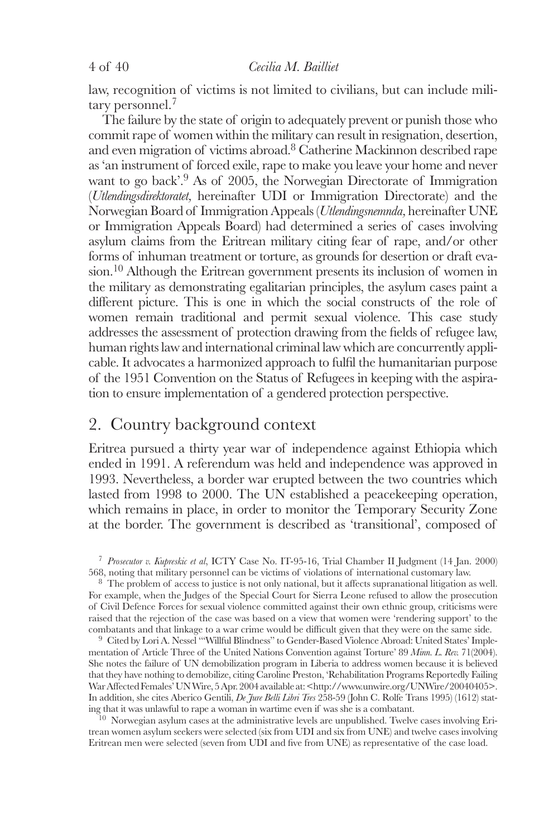law, recognition of victims is not limited to civilians, but can include military personnel.<sup>7</sup>

 The failure by the state of origin to adequately prevent or punish those who commit rape of women within the military can result in resignation, desertion, and even migration of victims abroad. 8 Catherine Mackinnon described rape as 'an instrument of forced exile, rape to make you leave your home and never want to go back'. $9$  As of 2005, the Norwegian Directorate of Immigration ( *Utlendingsdirektoratet,* hereinafter UDI or Immigration Directorate) and the Norwegian Board of Immigration Appeals ( *Utlendingsnemnda,* hereinafter UNE or Immigration Appeals Board) had determined a series of cases involving asylum claims from the Eritrean military citing fear of rape, and/or other forms of inhuman treatment or torture, as grounds for desertion or draft evasion. 10 Although the Eritrean government presents its inclusion of women in the military as demonstrating egalitarian principles, the asylum cases paint a different picture. This is one in which the social constructs of the role of women remain traditional and permit sexual violence. This case study addresses the assessment of protection drawing from the fields of refugee law, human rights law and international criminal law which are concurrently applicable. It advocates a harmonized approach to fulfi l the humanitarian purpose of the 1951 Convention on the Status of Refugees in keeping with the aspiration to ensure implementation of a gendered protection perspective.

## 2. Country background context

 Eritrea pursued a thirty year war of independence against Ethiopia which ended in 1991. A referendum was held and independence was approved in 1993. Nevertheless, a border war erupted between the two countries which lasted from 1998 to 2000. The UN established a peacekeeping operation, which remains in place, in order to monitor the Temporary Security Zone at the border. The government is described as 'transitional', composed of

<sup>9</sup> Cited by Lori A. Nessel " Willful Blindness" to Gender-Based Violence Abroad: United States' Implementation of Article Three of the United Nations Convention against Torture ' 89 *Minn. L. Rev.* 71(2004). She notes the failure of UN demobilization program in Liberia to address women because it is believed that they have nothing to demobilize, citing Caroline Preston, ' Rehabilitation Programs Reportedly Failing War Affected Females' UN Wire, 5 Apr. 2004 available at: <http://www.unwire.org/UNWire/20040405>. In addition, she cites Aberico Gentili, *De Jure Belli Libri Tres* 258-59 (John C. Rolfe Trans 1995) (1612) stating that it was unlawful to rape a woman in wartime even if was she is a combatant.

 $10$  Norwegian asylum cases at the administrative levels are unpublished. Twelve cases involving Eritrean women asylum seekers were selected (six from UDI and six from UNE) and twelve cases involving Eritrean men were selected (seven from UDI and five from UNE) as representative of the case load.

<sup>7</sup> *Prosecutor v. Kupreskic et al* , ICTY Case No. IT-95-16, Trial Chamber II Judgment (14 Jan. 2000)

 $8\text{ }$  The problem of access to justice is not only national, but it affects supranational litigation as well. For example, when the Judges of the Special Court for Sierra Leone refused to allow the prosecution of Civil Defence Forces for sexual violence committed against their own ethnic group, criticisms were raised that the rejection of the case was based on a view that women were 'rendering support' to the combatants and that linkage to a war crime would be difficult given that they were on the same side.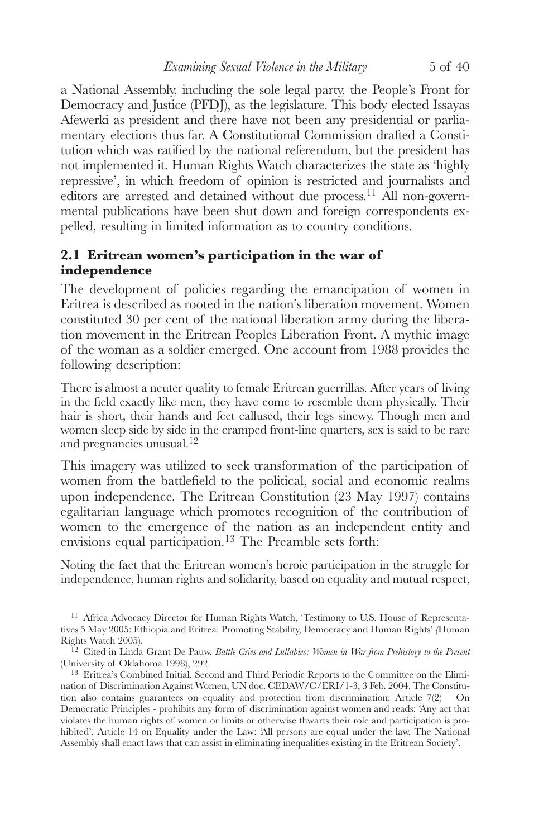a National Assembly, including the sole legal party, the People's Front for Democracy and Justice (PFDJ), as the legislature. This body elected Issayas Afewerki as president and there have not been any presidential or parliamentary elections thus far. A Constitutional Commission drafted a Constitution which was ratified by the national referendum, but the president has not implemented it. Human Rights Watch characterizes the state as ' highly repressive', in which freedom of opinion is restricted and journalists and editors are arrested and detained without due process.<sup>11</sup> All non-governmental publications have been shut down and foreign correspondents expelled, resulting in limited information as to country conditions.

#### **2.1 Eritrean women's participation in the war of independence**

 The development of policies regarding the emancipation of women in Eritrea is described as rooted in the nation's liberation movement. Women constituted 30 per cent of the national liberation army during the liberation movement in the Eritrean Peoples Liberation Front. A mythic image of the woman as a soldier emerged. One account from 1988 provides the following description:

 There is almost a neuter quality to female Eritrean guerrillas. After years of living in the field exactly like men, they have come to resemble them physically. Their hair is short, their hands and feet callused, their legs sinewy. Though men and women sleep side by side in the cramped front-line quarters, sex is said to be rare and pregnancies unusual. 12

This imagery was utilized to seek transformation of the participation of women from the battlefield to the political, social and economic realms upon independence. The Eritrean Constitution (23 May 1997) contains egalitarian language which promotes recognition of the contribution of women to the emergence of the nation as an independent entity and envisions equal participation. 13 The Preamble sets forth:

 Noting the fact that the Eritrean women's heroic participation in the struggle for independence, human rights and solidarity, based on equality and mutual respect,

<sup>&</sup>lt;sup>11</sup> Africa Advocacy Director for Human Rights Watch, 'Testimony to U.S. House of Representatives 5 May 2005: Ethiopia and Eritrea: Promoting Stability, Democracy and Human Rights ' *(* Human

<sup>&</sup>lt;sup>12</sup> Cited in Linda Grant De Pauw, *Battle Cries and Lullabies: Women in War from Prehistory to the Present* (University of Oklahoma 1998), 292.

<sup>&</sup>lt;sup>13</sup> Eritrea's Combined Initial, Second and Third Periodic Reports to the Committee on the Elimination of Discrimination Against Women, UN doc. CEDAW/C/ERI/1-3, 3 Feb. 2004. The Constitution also contains guarantees on equality and protection from discrimination: Article  $7(2) -$ On Democratic Principles - prohibits any form of discrimination against women and reads: 'Any act that violates the human rights of women or limits or otherwise thwarts their role and participation is prohibited'. Article 14 on Equality under the Law: 'All persons are equal under the law. The National Assembly shall enact laws that can assist in eliminating inequalities existing in the Eritrean Society ' .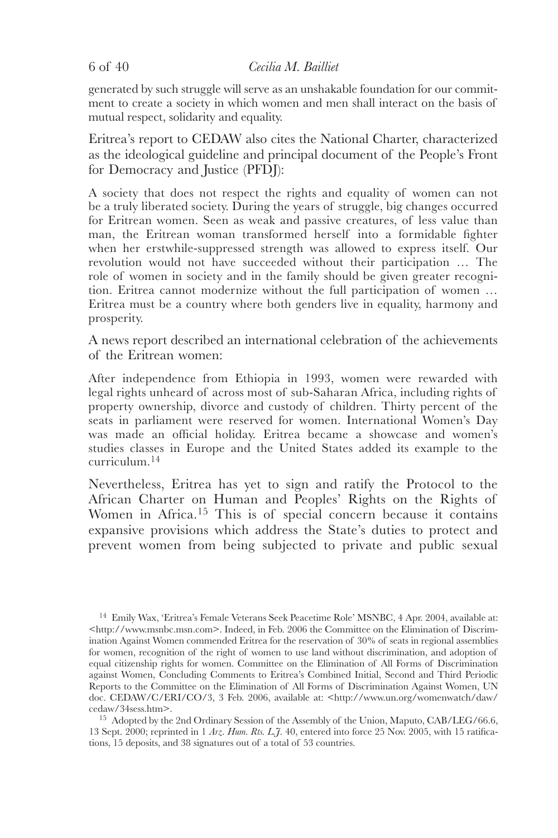generated by such struggle will serve as an unshakable foundation for our commitment to create a society in which women and men shall interact on the basis of mutual respect, solidarity and equality.

Eritrea's report to CEDAW also cites the National Charter, characterized as the ideological guideline and principal document of the People's Front for Democracy and Justice (PFDJ):

 A society that does not respect the rights and equality of women can not be a truly liberated society. During the years of struggle, big changes occurred for Eritrean women. Seen as weak and passive creatures, of less value than man, the Eritrean woman transformed herself into a formidable fighter when her erstwhile-suppressed strength was allowed to express itself. Our revolution would not have succeeded without their participation … The role of women in society and in the family should be given greater recognition. Eritrea cannot modernize without the full participation of women … Eritrea must be a country where both genders live in equality, harmony and prosperity.

A news report described an international celebration of the achievements of the Eritrean women:

 After independence from Ethiopia in 1993, women were rewarded with legal rights unheard of across most of sub-Saharan Africa, including rights of property ownership, divorce and custody of children. Thirty percent of the seats in parliament were reserved for women. International Women's Day was made an official holiday. Eritrea became a showcase and women's studies classes in Europe and the United States added its example to the curriculum. 14

Nevertheless, Eritrea has yet to sign and ratify the Protocol to the African Charter on Human and Peoples' Rights on the Rights of Women in Africa.<sup>15</sup> This is of special concern because it contains expansive provisions which address the State's duties to protect and prevent women from being subjected to private and public sexual

<sup>14</sup> Emily Wax, 'Eritrea's Female Veterans Seek Peacetime Role' MSNBC, 4 Apr. 2004, available at: < http://www.msnbc.msn.com> . Indeed, in Feb. 2006 the Committee on the Elimination of Discrimination Against Women commended Eritrea for the reservation of 30% of seats in regional assemblies for women, recognition of the right of women to use land without discrimination, and adoption of equal citizenship rights for women. Committee on the Elimination of All Forms of Discrimination against Women, Concluding Comments to Eritrea's Combined Initial, Second and Third Periodic Reports to the Committee on the Elimination of All Forms of Discrimination Against Women, UN doc. CEDAW/C/ERI/CO/3, 3 Feb. 2006, available at: < http://www.un.org/womenwatch/daw/ cedaw/34sess.htm>.<br><sup>15</sup> Adopted by the 2nd Ordinary Session of the Assembly of the Union, Maputo, CAB/LEG/66.6,

13 Sept. 2000; reprinted in 1 *Arz. Hum. Rts. L.*J. 40, entered into force 25 Nov. 2005, with 15 ratifications, 15 deposits, and 38 signatures out of a total of 53 countries.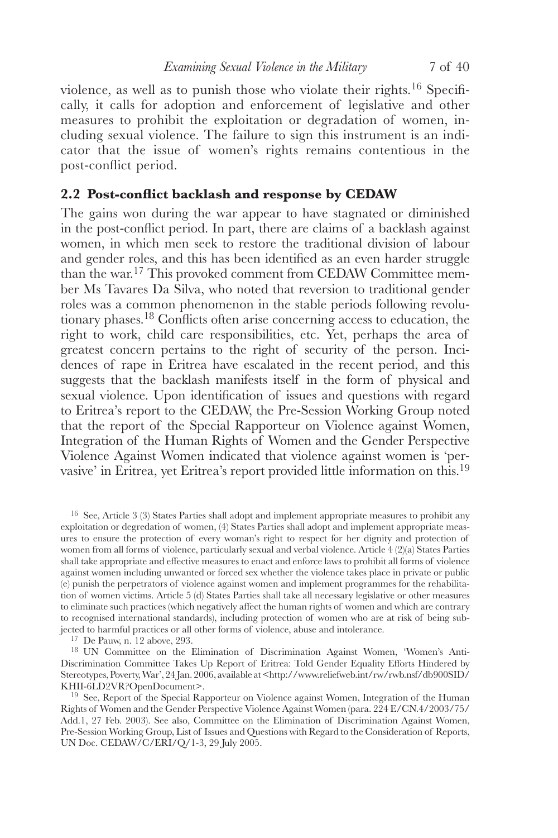violence, as well as to punish those who violate their rights.<sup>16</sup> Specifically, it calls for adoption and enforcement of legislative and other measures to prohibit the exploitation or degradation of women, including sexual violence. The failure to sign this instrument is an indicator that the issue of women's rights remains contentious in the post-conflict period.

#### 2.2 Post-conflict backlash and response by **CEDAW**

 The gains won during the war appear to have stagnated or diminished in the post-conflict period. In part, there are claims of a backlash against women, in which men seek to restore the traditional division of labour and gender roles, and this has been identified as an even harder struggle than the war. 17 This provoked comment from CEDAW Committee member Ms Tavares Da Silva, who noted that reversion to traditional gender roles was a common phenomenon in the stable periods following revolutionary phases.  $^{18}$  Conflicts often arise concerning access to education, the right to work, child care responsibilities, etc. Yet, perhaps the area of greatest concern pertains to the right of security of the person. Incidences of rape in Eritrea have escalated in the recent period, and this suggests that the backlash manifests itself in the form of physical and sexual violence. Upon identification of issues and questions with regard to Eritrea's report to the CEDAW, the Pre-Session Working Group noted that the report of the Special Rapporteur on Violence against Women, Integration of the Human Rights of Women and the Gender Perspective Violence Against Women indicated that violence against women is 'pervasive' in Eritrea, yet Eritrea's report provided little information on this.<sup>19</sup>

<sup>16</sup> See, Article 3 (3) States Parties shall adopt and implement appropriate measures to prohibit any exploitation or degredation of women, (4) States Parties shall adopt and implement appropriate measures to ensure the protection of every woman's right to respect for her dignity and protection of women from all forms of violence, particularly sexual and verbal violence. Article 4 (2)(a) States Parties shall take appropriate and effective measures to enact and enforce laws to prohibit all forms of violence against women including unwanted or forced sex whether the violence takes place in private or public (e) punish the perpetrators of violence against women and implement programmes for the rehabilitation of women victims. Article 5 (d) States Parties shall take all necessary legislative or other measures to eliminate such practices (which negatively affect the human rights of women and which are contrary to recognised international standards), including protection of women who are at risk of being subjected to harmful practices or all other forms of violence, abuse and intolerance. 17 De Pauw, n. 12 above, 293.

<sup>18</sup> UN Committee on the Elimination of Discrimination Against Women, 'Women's Anti- Discrimination Committee Takes Up Report of Eritrea: Told Gender Equality Efforts Hindered by Stereotypes, Poverty, War', 24 Jan. 2006, available at <http://www.reliefweb.int/rw/rwb.nsf/db900SID/<br>KHII-6LD2VR?OpenDocument>.

 $^{19}$  See, Report of the Special Rapporteur on Violence against Women, Integration of the Human Rights of Women and the Gender Perspective Violence Against Women (para. 224 E/CN.4/2003/75/ Add.1, 27 Feb. 2003). See also, Committee on the Elimination of Discrimination Against Women, Pre-Session Working Group, List of Issues and Questions with Regard to the Consideration of Reports, UN Doc. CEDAW/C/ERI/Q/1-3, 29 July 2005.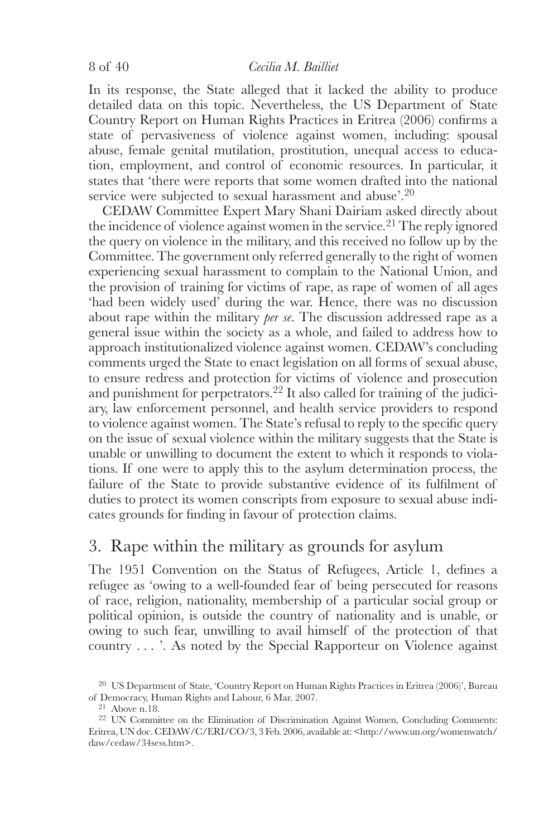In its response, the State alleged that it lacked the ability to produce detailed data on this topic. Nevertheless, the US Department of State Country Report on Human Rights Practices in Eritrea (2006) confirms a state of pervasiveness of violence against women, including: spousal abuse, female genital mutilation, prostitution, unequal access to education, employment, and control of economic resources. In particular, it states that 'there were reports that some women drafted into the national service were subjected to sexual harassment and abuse.<sup>20</sup>

 CEDAW Committee Expert Mary Shani Dairiam asked directly about the incidence of violence against women in the service. 21 The reply ignored the query on violence in the military, and this received no follow up by the Committee. The government only referred generally to the right of women experiencing sexual harassment to complain to the National Union, and the provision of training for victims of rape, as rape of women of all ages 'had been widely used' during the war. Hence, there was no discussion about rape within the military *per se* . The discussion addressed rape as a general issue within the society as a whole, and failed to address how to approach institutionalized violence against women. CEDAW's concluding comments urged the State to enact legislation on all forms of sexual abuse, to ensure redress and protection for victims of violence and prosecution and punishment for perpetrators. 22 It also called for training of the judiciary, law enforcement personnel, and health service providers to respond to violence against women. The State's refusal to reply to the specific query on the issue of sexual violence within the military suggests that the State is unable or unwilling to document the extent to which it responds to violations. If one were to apply this to the asylum determination process, the failure of the State to provide substantive evidence of its fulfilment of duties to protect its women conscripts from exposure to sexual abuse indicates grounds for finding in favour of protection claims.

## 3. Rape within the military as grounds for asylum

The 1951 Convention on the Status of Refugees, Article 1, defines a refugee as 'owing to a well-founded fear of being persecuted for reasons of race, religion, nationality, membership of a particular social group or political opinion, is outside the country of nationality and is unable, or owing to such fear, unwilling to avail himself of the protection of that country . . . '. As noted by the Special Rapporteur on Violence against

<sup>&</sup>lt;sup>20</sup> US Department of State, 'Country Report on Human Rights Practices in Eritrea (2006)', Bureau of Democracy, Human Rights and Labour, 6 Mar. 2007. 21 Above n.18.

<sup>&</sup>lt;sup>22</sup> UN Committee on the Elimination of Discrimination Against Women, Concluding Comments: Eritrea, UN doc. CEDAW/C/ERI/CO/3, 3 Feb. 2006, available at: < http://www.un.org/womenwatch/ daw/cedaw/34sess.htm> .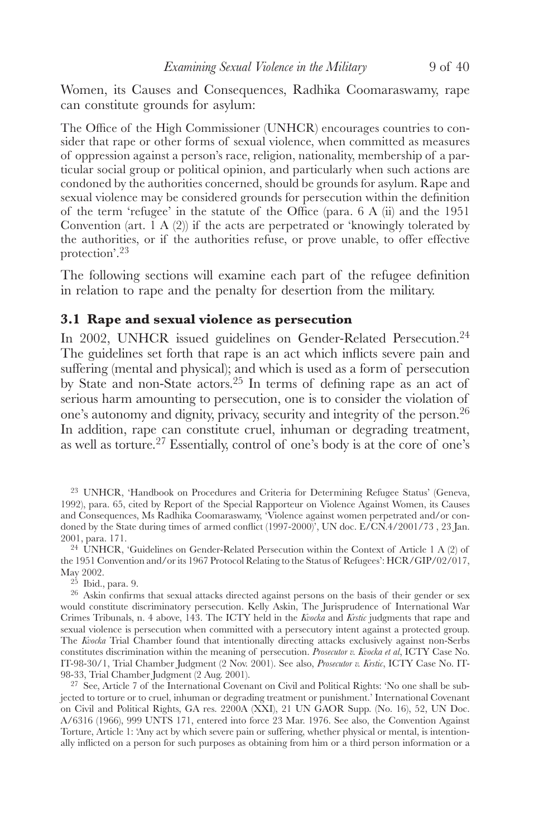Women, its Causes and Consequences, Radhika Coomaraswamy, rape can constitute grounds for asylum:

The Office of the High Commissioner (UNHCR) encourages countries to consider that rape or other forms of sexual violence, when committed as measures of oppression against a person's race, religion, nationality, membership of a particular social group or political opinion, and particularly when such actions are condoned by the authorities concerned, should be grounds for asylum. Rape and sexual violence may be considered grounds for persecution within the definition of the term 'refugee' in the statute of the Office (para.  $6 \text{ A } (ii)$  and the 1951 Convention (art.  $1 \text{ A } (2)$ ) if the acts are perpetrated or 'knowingly tolerated by the authorities, or if the authorities refuse, or prove unable, to offer effective protection'.<sup>23</sup>

The following sections will examine each part of the refugee definition in relation to rape and the penalty for desertion from the military.

#### **3.1 Rape and sexual violence as persecution**

In 2002, UNHCR issued guidelines on Gender-Related Persecution.<sup>24</sup> The guidelines set forth that rape is an act which inflicts severe pain and suffering (mental and physical); and which is used as a form of persecution by State and non-State actors.  $25$  In terms of defining rape as an act of serious harm amounting to persecution, one is to consider the violation of one's autonomy and dignity, privacy, security and integrity of the person. 26 In addition, rape can constitute cruel, inhuman or degrading treatment, as well as torture. 27 Essentially, control of one's body is at the core of one's

<sup>23</sup> UNHCR, 'Handbook on Procedures and Criteria for Determining Refugee Status' (Geneva, 1992), para. 65, cited by Report of the Special Rapporteur on Violence Against Women, its Causes and Consequences, Ms Radhika Coomaraswamy, ' Violence against women perpetrated and/or condoned by the State during times of armed conflict (1997-2000)', UN doc. E/CN.4/2001/73, 23 Jan. 2001, para. 171.<br><sup>24</sup> UNHCR, 'Guidelines on Gender-Related Persecution within the Context of Article 1 A (2) of

the 1951 Convention and/or its 1967 Protocol Relating to the Status of Refugees': HCR/GIP/02/017, Mav 2002.

 $25$  Ibid., para. 9.

<sup>26</sup> Askin confirms that sexual attacks directed against persons on the basis of their gender or sex would constitute discriminatory persecution. Kelly Askin, The Jurisprudence of International War Crimes Tribunals, n. 4 above, 143. The ICTY held in the *Kvocka* and *Krstic* judgments that rape and sexual violence is persecution when committed with a persecutory intent against a protected group. The *Kvocka* Trial Chamber found that intentionally directing attacks exclusively against non-Serbs constitutes discrimination within the meaning of persecution. *Prosecutor v. Kvocka et al* , ICTY Case No. IT-98-30/1, Trial Chamber Judgment (2 Nov. 2001). See also, *Prosecutor v. Krstic* , ICTY Case No. IT-

<sup>27</sup> See, Article 7 of the International Covenant on Civil and Political Rights: 'No one shall be subjected to torture or to cruel, inhuman or degrading treatment or punishment. ' International Covenant on Civil and Political Rights, GA res. 2200A (XXI), 21 UN GAOR Supp. (No. 16), 52, UN Doc. A/6316 (1966), 999 UNTS 171, entered into force 23 Mar. 1976. See also, the Convention Against Torture, Article 1: 'Any act by which severe pain or suffering, whether physical or mental, is intentionally inflicted on a person for such purposes as obtaining from him or a third person information or a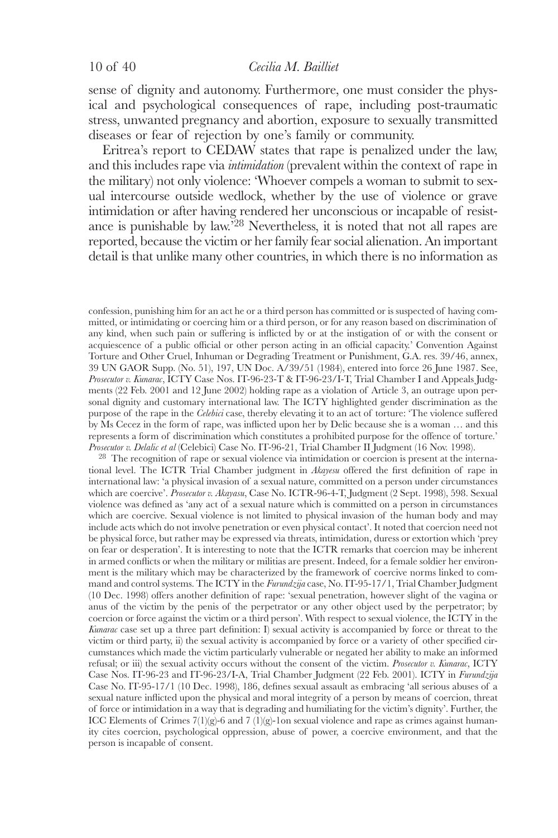sense of dignity and autonomy. Furthermore, one must consider the physical and psychological consequences of rape, including post-traumatic stress, unwanted pregnancy and abortion, exposure to sexually transmitted diseases or fear of rejection by one's family or community.

 Eritrea's report to CEDAW states that rape is penalized under the law, and this includes rape via *intimidation* (prevalent within the context of rape in the military) not only violence: 'Whoever compels a woman to submit to sexual intercourse outside wedlock, whether by the use of violence or grave intimidation or after having rendered her unconscious or incapable of resistance is punishable by law.<sup>528</sup> Nevertheless, it is noted that not all rapes are reported, because the victim or her family fear social alienation. An important detail is that unlike many other countries, in which there is no information as

confession, punishing him for an act he or a third person has committed or is suspected of having committed, or intimidating or coercing him or a third person, or for any reason based on discrimination of any kind, when such pain or suffering is inflicted by or at the instigation of or with the consent or acquiescence of a public official or other person acting in an official capacity.' Convention Against Torture and Other Cruel, Inhuman or Degrading Treatment or Punishment, G.A. res. 39/46, annex, 39 UN GAOR Supp. (No. 51), 197, UN Doc. A/39/51 (1984), entered into force 26 June 1987. See, *Prosecutor v. Kunarac* , ICTY Case Nos. IT-96-23-T & IT-96-23/I-T, Trial Chamber I and Appeals Judgments (22 Feb. 2001 and 12 June 2002) holding rape as a violation of Article 3, an outrage upon personal dignity and customary international law. The ICTY highlighted gender discrimination as the purpose of the rape in the *Celebici* case, thereby elevating it to an act of torture: ' The violence suffered by Ms Cecez in the form of rape, was inflicted upon her by Delic because she is a woman ... and this represents a form of discrimination which constitutes a prohibited purpose for the offence of torture.'<br>Prosecutor v. Delalic et al (Celebici) Case No. IT-96-21, Trial Chamber II Judgment (16 Nov. 1998).

<sup>28</sup> The recognition of rape or sexual violence via intimidation or coercion is present at the international level. The ICTR Trial Chamber judgment in *Akayesu* offered the first definition of rape in international law: ' a physical invasion of a sexual nature, committed on a person under circumstances which are coercive'. *Prosecutor v. Akayasu*, Case No. ICTR-96-4-T, Judgment (2 Sept. 1998), 598. Sexual violence was defined as 'any act of a sexual nature which is committed on a person in circumstances which are coercive. Sexual violence is not limited to physical invasion of the human body and may include acts which do not involve penetration or even physical contact ' . It noted that coercion need not be physical force, but rather may be expressed via threats, intimidation, duress or extortion which 'prey on fear or desperation'. It is interesting to note that the ICTR remarks that coercion may be inherent in armed conflicts or when the military or militias are present. Indeed, for a female soldier her environment is the military which may be characterized by the framework of coercive norms linked to command and control systems. The ICTY in the *Furundzija* case, No. IT-95-17/1, Trial Chamber Judgment  $(10$  Dec. 1998) offers another definition of rape: 'sexual penetration, however slight of the vagina or anus of the victim by the penis of the perpetrator or any other object used by the perpetrator; by coercion or force against the victim or a third person ' . With respect to sexual violence, the ICTY in the *Kunarac* case set up a three part definition: I) sexual activity is accompanied by force or threat to the victim or third party, ii) the sexual activity is accompanied by force or a variety of other specified circumstances which made the victim particularly vulnerable or negated her ability to make an informed refusal; or iii) the sexual activity occurs without the consent of the victim. *Prosecutor v. Kunarac* , ICTY Case Nos. IT-96-23 and IT-96-23/I-A, Trial Chamber Judgment (22 Feb. 2001). ICTY in *Furundzija* Case No. IT-95-17/1 (10 Dec. 1998), 186, defines sexual assault as embracing 'all serious abuses of a sexual nature inflicted upon the physical and moral integrity of a person by means of coercion, threat of force or intimidation in a way that is degrading and humiliating for the victim's dignity ' . Further, the ICC Elements of Crimes 7(1)(g)-6 and 7 (1)(g)-1on sexual violence and rape as crimes against humanity cites coercion, psychological oppression, abuse of power, a coercive environment, and that the person is incapable of consent.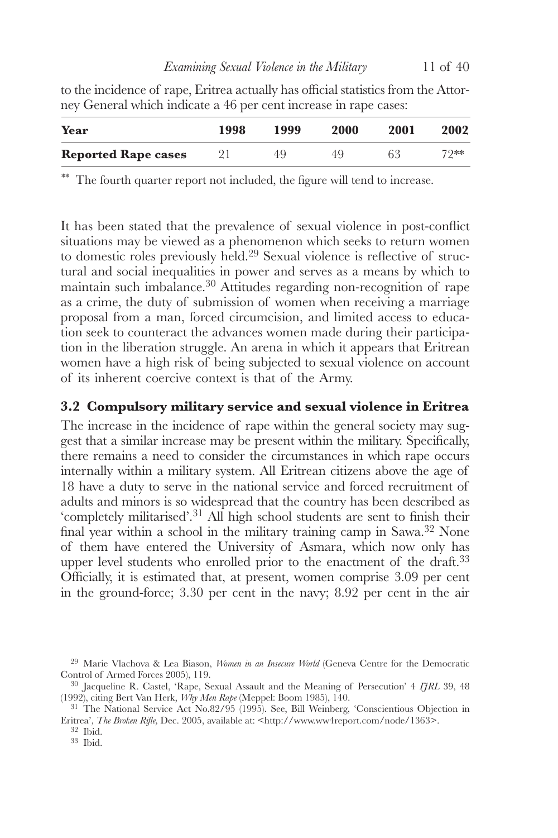| Year                       | 1998 | 1999 | 2000 | 2001 | 2002 |
|----------------------------|------|------|------|------|------|
| <b>Reported Rape cases</b> |      | 49   | 40   | 63   | 79** |

to the incidence of rape, Eritrea actually has official statistics from the Attorney General which indicate a 46 per cent increase in rape cases:

\*\* The fourth quarter report not included, the figure will tend to increase.

It has been stated that the prevalence of sexual violence in post-conflict situations may be viewed as a phenomenon which seeks to return women to domestic roles previously held.<sup>29</sup> Sexual violence is reflective of structural and social inequalities in power and serves as a means by which to maintain such imbalance. 30 Attitudes regarding non-recognition of rape as a crime, the duty of submission of women when receiving a marriage proposal from a man, forced circumcision, and limited access to education seek to counteract the advances women made during their participation in the liberation struggle. An arena in which it appears that Eritrean women have a high risk of being subjected to sexual violence on account of its inherent coercive context is that of the Army.

#### **3.2 Compulsory military service and sexual violence in Eritrea**

 The increase in the incidence of rape within the general society may suggest that a similar increase may be present within the military. Specifically, there remains a need to consider the circumstances in which rape occurs internally within a military system. All Eritrean citizens above the age of 18 have a duty to serve in the national service and forced recruitment of adults and minors is so widespread that the country has been described as ' completely militarised'.<sup>31</sup> All high school students are sent to finish their final year within a school in the military training camp in Sawa.<sup>32</sup> None of them have entered the University of Asmara, which now only has upper level students who enrolled prior to the enactment of the draft.<sup>33</sup> Officially, it is estimated that, at present, women comprise 3.09 per cent in the ground-force; 3.30 per cent in the navy; 8.92 per cent in the air

33 Ibid.

<sup>&</sup>lt;sup>29</sup> Marie Vlachova & Lea Biason, *Women in an Insecure World* (Geneva Centre for the Democratic Control of Armed Forces 2005), 119.

<sup>&</sup>lt;sup>30</sup> Jacqueline R. Castel, 'Rape, Sexual Assault and the Meaning of Persecution' 4 *IJRL* 39, 48 (1992), citing Bert Van Herk, *Why Men Rape* (Meppel: Boom 1985), 140.

<sup>&</sup>lt;sup>31</sup> The National Service Act No.82/95 (1995), See, Bill Weinberg, 'Conscientious Objection in Eritrea', *The Broken Rifle,* Dec. 2005, available at: <http://www.ww4report.com/node/1363>. $^{\rm 32}$  Ibid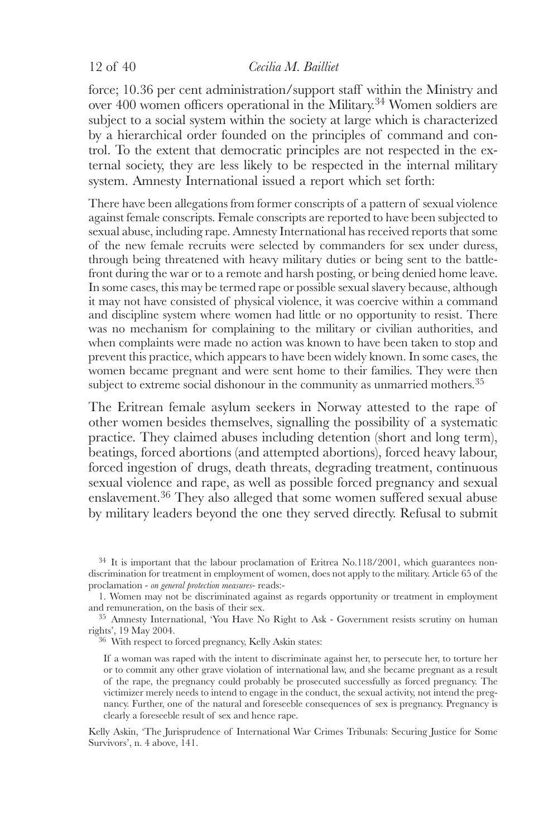force; 10.36 per cent administration/support staff within the Ministry and over 400 women officers operational in the Military.<sup>34</sup> Women soldiers are subject to a social system within the society at large which is characterized by a hierarchical order founded on the principles of command and control. To the extent that democratic principles are not respected in the external society, they are less likely to be respected in the internal military system. Amnesty International issued a report which set forth:

 There have been allegations from former conscripts of a pattern of sexual violence against female conscripts. Female conscripts are reported to have been subjected to sexual abuse, including rape. Amnesty International has received reports that some of the new female recruits were selected by commanders for sex under duress, through being threatened with heavy military duties or being sent to the battlefront during the war or to a remote and harsh posting, or being denied home leave. In some cases, this may be termed rape or possible sexual slavery because, although it may not have consisted of physical violence, it was coercive within a command and discipline system where women had little or no opportunity to resist. There was no mechanism for complaining to the military or civilian authorities, and when complaints were made no action was known to have been taken to stop and prevent this practice, which appears to have been widely known. In some cases, the women became pregnant and were sent home to their families. They were then subject to extreme social dishonour in the community as unmarried mothers.<sup>35</sup>

 The Eritrean female asylum seekers in Norway attested to the rape of other women besides themselves, signalling the possibility of a systematic practice. They claimed abuses including detention (short and long term), beatings, forced abortions (and attempted abortions), forced heavy labour, forced ingestion of drugs, death threats, degrading treatment, continuous sexual violence and rape, as well as possible forced pregnancy and sexual enslavement. 36 They also alleged that some women suffered sexual abuse by military leaders beyond the one they served directly. Refusal to submit

<sup>&</sup>lt;sup>34</sup> It is important that the labour proclamation of Eritrea No.118/2001, which guarantees nondiscrimination for treatment in employment of women, does not apply to the military. Article 65 of the proclamation - *on general protection measures* - reads:-

 <sup>1.</sup> Women may not be discriminated against as regards opportunity or treatment in employment

and remuneration, on the basis of their sex.<br><sup>35</sup> Amnesty International, 'You Have No Right to Ask - Government resists scrutiny on human<br>rights', 19 May 2004.

 $196$  With respect to forced pregnancy, Kelly Askin states:

If a woman was raped with the intent to discriminate against her, to persecute her, to torture her or to commit any other grave violation of international law, and she became pregnant as a result of the rape, the pregnancy could probably be prosecuted successfully as forced pregnancy. The victimizer merely needs to intend to engage in the conduct, the sexual activity, not intend the pregnancy. Further, one of the natural and foreseeble consequences of sex is pregnancy. Pregnancy is clearly a foreseeble result of sex and hence rape.

Kelly Askin, 'The Jurisprudence of International War Crimes Tribunals: Securing Justice for Some Survivors', n. 4 above, 141.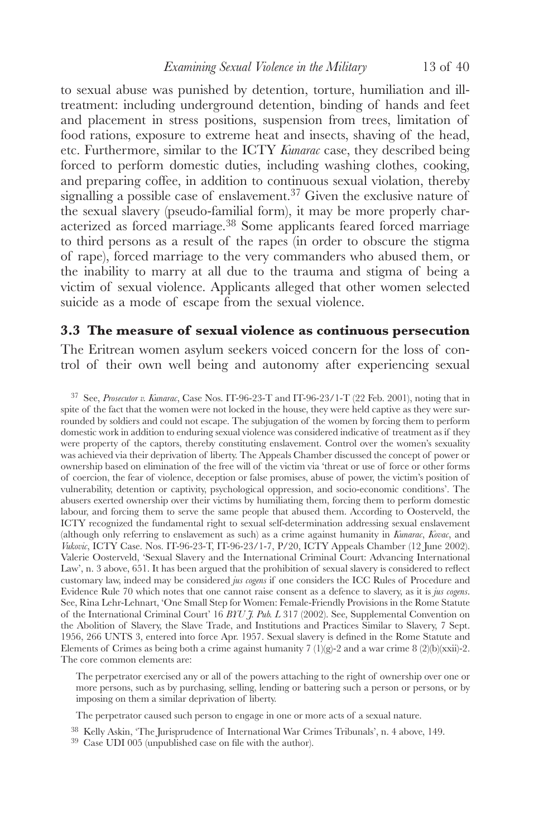to sexual abuse was punished by detention, torture, humiliation and illtreatment: including underground detention, binding of hands and feet and placement in stress positions, suspension from trees, limitation of food rations, exposure to extreme heat and insects, shaving of the head, etc. Furthermore, similar to the ICTY *Kunarac* case, they described being forced to perform domestic duties, including washing clothes, cooking, and preparing coffee, in addition to continuous sexual violation, thereby signalling a possible case of enslavement.<sup>37</sup> Given the exclusive nature of the sexual slavery (pseudo-familial form), it may be more properly characterized as forced marriage. 38 Some applicants feared forced marriage to third persons as a result of the rapes (in order to obscure the stigma of rape), forced marriage to the very commanders who abused them, or the inability to marry at all due to the trauma and stigma of being a victim of sexual violence. Applicants alleged that other women selected suicide as a mode of escape from the sexual violence.

#### **3.3 The measure of sexual violence as continuous persecution**

 The Eritrean women asylum seekers voiced concern for the loss of control of their own well being and autonomy after experiencing sexual

<sup>37</sup> See, *Prosecutor v. Kunarac*, Case Nos. IT-96-23-T and IT-96-23/1-T (22 Feb. 2001), noting that in spite of the fact that the women were not locked in the house, they were held captive as they were surrounded by soldiers and could not escape. The subjugation of the women by forcing them to perform domestic work in addition to enduring sexual violence was considered indicative of treatment as if they were property of the captors, thereby constituting enslavement. Control over the women's sexuality was achieved via their deprivation of liberty. The Appeals Chamber discussed the concept of power or ownership based on elimination of the free will of the victim via ' threat or use of force or other forms of coercion, the fear of violence, deception or false promises, abuse of power, the victim's position of vulnerability, detention or captivity, psychological oppression, and socio-economic conditions ' . The abusers exerted ownership over their victims by humiliating them, forcing them to perform domestic labour, and forcing them to serve the same people that abused them. According to Oosterveld, the ICTY recognized the fundamental right to sexual self-determination addressing sexual enslavement (although only referring to enslavement as such) as a crime against humanity in *Kunarac* , *Kovac* , and *Vukovic* , ICTY Case. Nos. IT-96-23-T, IT-96-23/1-7, P/20, ICTY Appeals Chamber (12 June 2002). Valerie Oosterveld, 'Sexual Slavery and the International Criminal Court: Advancing International Law', n. 3 above, 651. It has been argued that the prohibition of sexual slavery is considered to reflect customary law, indeed may be considered *jus cogens* if one considers the ICC Rules of Procedure and Evidence Rule 70 which notes that one cannot raise consent as a defence to slavery, as it is *jus cogens* . See, Rina Lehr-Lehnart, 'One Small Step for Women: Female-Friendly Provisions in the Rome Statute of the International Criminal Court ' 16 *BYU J. Pub. L* 317 (2002). See, Supplemental Convention on the Abolition of Slavery, the Slave Trade, and Institutions and Practices Similar to Slavery, 7 Sept. 1956, 266 UNTS 3, entered into force Apr. 1957. Sexual slavery is defined in the Rome Statute and Elements of Crimes as being both a crime against humanity 7 (1)(g)-2 and a war crime 8 (2)(b)(xxii)-2. The core common elements are:

 The perpetrator exercised any or all of the powers attaching to the right of ownership over one or more persons, such as by purchasing, selling, lending or battering such a person or persons, or by imposing on them a similar deprivation of liberty.

The perpetrator caused such person to engage in one or more acts of a sexual nature.

<sup>38</sup> Kelly Askin, 'The Jurisprudence of International War Crimes Tribunals', n. 4 above, 149.<br><sup>39</sup> Case UDI 005 (unpublished case on file with the author).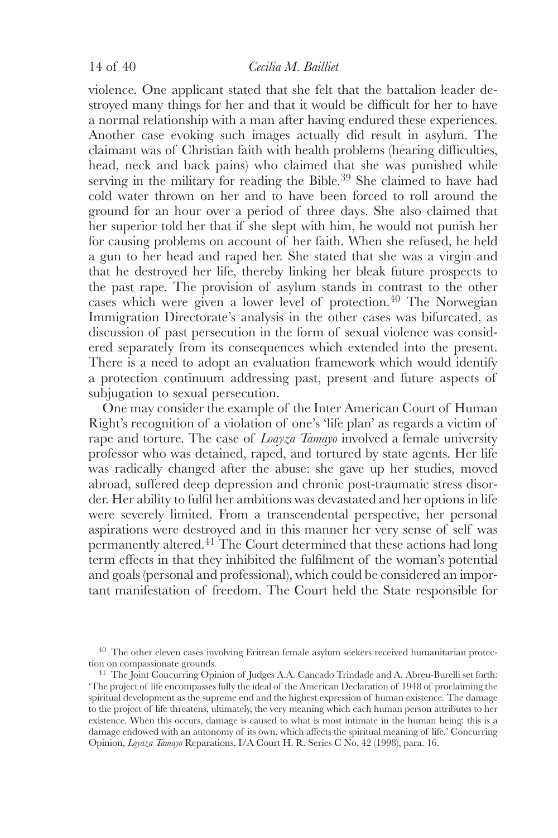violence. One applicant stated that she felt that the battalion leader destroyed many things for her and that it would be difficult for her to have a normal relationship with a man after having endured these experiences. Another case evoking such images actually did result in asylum. The claimant was of Christian faith with health problems (hearing difficulties, head, neck and back pains) who claimed that she was punished while serving in the military for reading the Bible.<sup>39</sup> She claimed to have had cold water thrown on her and to have been forced to roll around the ground for an hour over a period of three days. She also claimed that her superior told her that if she slept with him, he would not punish her for causing problems on account of her faith. When she refused, he held a gun to her head and raped her. She stated that she was a virgin and that he destroyed her life, thereby linking her bleak future prospects to the past rape. The provision of asylum stands in contrast to the other cases which were given a lower level of protection. 40 The Norwegian Immigration Directorate's analysis in the other cases was bifurcated, as discussion of past persecution in the form of sexual violence was considered separately from its consequences which extended into the present. There is a need to adopt an evaluation framework which would identify a protection continuum addressing past, present and future aspects of subjugation to sexual persecution.

 One may consider the example of the Inter American Court of Human Right's recognition of a violation of one's 'life plan' as regards a victim of rape and torture. The case of *Loayza Tamayo* involved a female university professor who was detained, raped, and tortured by state agents. Her life was radically changed after the abuse: she gave up her studies, moved abroad, suffered deep depression and chronic post-traumatic stress disorder. Her ability to fulfil her ambitions was devastated and her options in life were severely limited. From a transcendental perspective, her personal aspirations were destroyed and in this manner her very sense of self was permanently altered. 41 The Court determined that these actions had long term effects in that they inhibited the fulfilment of the woman's potential and goals (personal and professional), which could be considered an important manifestation of freedom. The Court held the State responsible for

 $^{40}\,$  The other eleven cases involving Eritrean female asylum seekers received humanitarian protection on compassionate grounds.

<sup>&</sup>lt;sup>41</sup> The Joint Concurring Opinion of Judges A.A. Cancado Trindade and A. Abreu-Burelli set forth: ' The project of life encompasses fully the ideal of the American Declaration of 1948 of proclaiming the spiritual development as the supreme end and the highest expression of human existence. The damage to the project of life threatens, ultimately, the very meaning which each human person attributes to her existence. When this occurs, damage is caused to what is most intimate in the human being: this is a damage endowed with an autonomy of its own, which affects the spiritual meaning of life. ' Concurring Opinion, *Loyaza Tamayo* Reparations, I/A Court H. R. Series C No. 42 (1998), para. 16.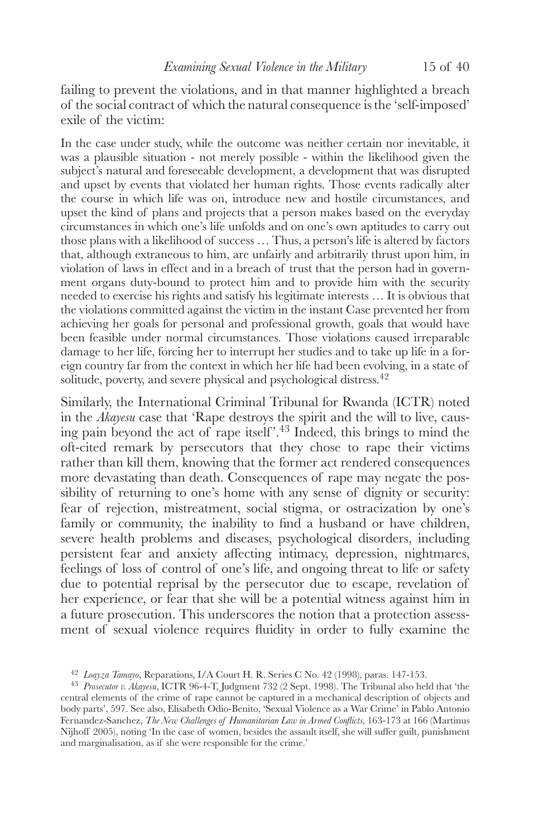failing to prevent the violations, and in that manner highlighted a breach of the social contract of which the natural consequence is the 'self-imposed' exile of the victim:

 In the case under study, while the outcome was neither certain nor inevitable, it was a plausible situation - not merely possible - within the likelihood given the subject's natural and foreseeable development, a development that was disrupted and upset by events that violated her human rights. Those events radically alter the course in which life was on, introduce new and hostile circumstances, and upset the kind of plans and projects that a person makes based on the everyday circumstances in which one's life unfolds and on one's own aptitudes to carry out those plans with a likelihood of success … Thus, a person's life is altered by factors that, although extraneous to him, are unfairly and arbitrarily thrust upon him, in violation of laws in effect and in a breach of trust that the person had in government organs duty-bound to protect him and to provide him with the security needed to exercise his rights and satisfy his legitimate interests … It is obvious that the violations committed against the victim in the instant Case prevented her from achieving her goals for personal and professional growth, goals that would have been feasible under normal circumstances. Those violations caused irreparable damage to her life, forcing her to interrupt her studies and to take up life in a foreign country far from the context in which her life had been evolving, in a state of solitude, poverty, and severe physical and psychological distress. 42

Similarly, the International Criminal Tribunal for Rwanda (ICTR) noted in the *Akayesu* case that 'Rape destroys the spirit and the will to live, causing pain beyond the act of rape itself ' . 43 Indeed, this brings to mind the oft-cited remark by persecutors that they chose to rape their victims rather than kill them, knowing that the former act rendered consequences more devastating than death. Consequences of rape may negate the possibility of returning to one's home with any sense of dignity or security: fear of rejection, mistreatment, social stigma, or ostracization by one's family or community, the inability to find a husband or have children, severe health problems and diseases, psychological disorders, including persistent fear and anxiety affecting intimacy, depression, nightmares, feelings of loss of control of one's life, and ongoing threat to life or safety due to potential reprisal by the persecutor due to escape, revelation of her experience, or fear that she will be a potential witness against him in a future prosecution. This underscores the notion that a protection assessment of sexual violence requires fluidity in order to fully examine the

<sup>42</sup>*Loayza Tamayo* , Reparations, I/A Court H. R. Series C No. 42 (1998), paras. 147-153. 43 *Prosecutor v. Akayesu* , ICTR 96-4-T, Judgment 732 (2 Sept. 1998). The Tribunal also held that ' the central elements of the crime of rape cannot be captured in a mechanical description of objects and body parts ' , 597. See also, Elisabeth Odio-Benito, ' Sexual Violence as a War Crime ' in Pablo Antonio Fernandez-Sanchez, *The New Challenges of Humanitarian Law in Armed Conflicts*, 163-173 at 166 (Martinus Nijhoff 2005), noting 'In the case of women, besides the assault itself, she will suffer guilt, punishment and marginalisation, as if she were responsible for the crime. '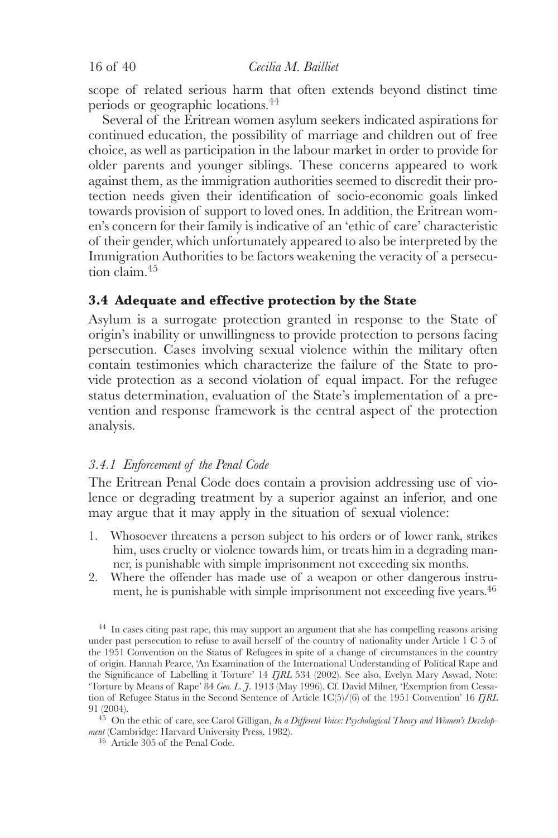scope of related serious harm that often extends beyond distinct time periods or geographic locations. 44

 Several of the Eritrean women asylum seekers indicated aspirations for continued education, the possibility of marriage and children out of free choice, as well as participation in the labour market in order to provide for older parents and younger siblings. These concerns appeared to work against them, as the immigration authorities seemed to discredit their protection needs given their identification of socio-economic goals linked towards provision of support to loved ones. In addition, the Eritrean women's concern for their family is indicative of an 'ethic of care' characteristic of their gender, which unfortunately appeared to also be interpreted by the Immigration Authorities to be factors weakening the veracity of a persecution claim. 45

### **3.4 Adequate and effective protection by the State**

 Asylum is a surrogate protection granted in response to the State of origin's inability or unwillingness to provide protection to persons facing persecution. Cases involving sexual violence within the military often contain testimonies which characterize the failure of the State to provide protection as a second violation of equal impact. For the refugee status determination, evaluation of the State's implementation of a prevention and response framework is the central aspect of the protection analysis.

#### *3.4.1 Enforcement of the Penal Code*

 The Eritrean Penal Code does contain a provision addressing use of violence or degrading treatment by a superior against an inferior, and one may argue that it may apply in the situation of sexual violence:

- 1. Whosoever threatens a person subject to his orders or of lower rank, strikes him, uses cruelty or violence towards him, or treats him in a degrading manner, is punishable with simple imprisonment not exceeding six months.
- 2. Where the offender has made use of a weapon or other dangerous instrument, he is punishable with simple imprisonment not exceeding five years.  $46$

44 In cases citing past rape, this may support an argument that she has compelling reasons arising under past persecution to refuse to avail herself of the country of nationality under Article 1 C 5 of the 1951 Convention on the Status of Refugees in spite of a change of circumstances in the country of origin. Hannah Pearce, 'An Examination of the International Understanding of Political Rape and the Significance of Labelling it Torture' 14 *IfRL* 534 (2002). See also, Evelyn Mary Aswad, Note: ' Torture by Means of Rape ' 84 *Geo. L. J* . 1913 (May 1996). Cf. David Milner, ' Exemption from Cessation of Refugee Status in the Second Sentence of Article 1C(5)/(6) of the 1951 Convention ' 16 *IJRL*

91 (2004). 45 On the ethic of care, see Carol Gilligan, *In a Different Voice: Psychological Theory and Women's Development* (Cambridge: Harvard University Press, 1982).

46 Article 305 of the Penal Code.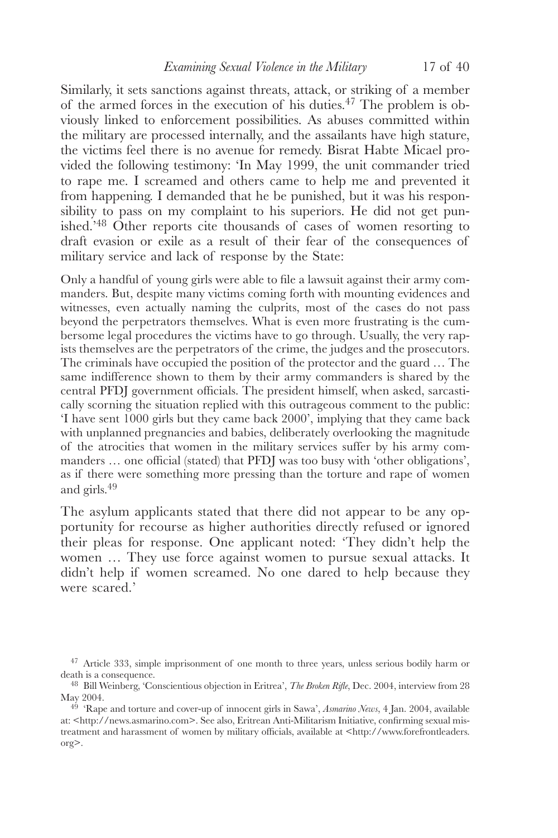Similarly, it sets sanctions against threats, attack, or striking of a member of the armed forces in the execution of his duties. 47 The problem is obviously linked to enforcement possibilities. As abuses committed within the military are processed internally, and the assailants have high stature, the victims feel there is no avenue for remedy. Bisrat Habte Micael provided the following testimony: 'In May 1999, the unit commander tried to rape me. I screamed and others came to help me and prevented it from happening. I demanded that he be punished, but it was his responsibility to pass on my complaint to his superiors. He did not get punished.<sup>'48</sup> Other reports cite thousands of cases of women resorting to draft evasion or exile as a result of their fear of the consequences of military service and lack of response by the State:

Only a handful of young girls were able to file a lawsuit against their army commanders. But, despite many victims coming forth with mounting evidences and witnesses, even actually naming the culprits, most of the cases do not pass beyond the perpetrators themselves. What is even more frustrating is the cumbersome legal procedures the victims have to go through. Usually, the very rapists themselves are the perpetrators of the crime, the judges and the prosecutors. The criminals have occupied the position of the protector and the guard … The same indifference shown to them by their army commanders is shared by the central PFDJ government officials. The president himself, when asked, sarcastically scorning the situation replied with this outrageous comment to the public: ' I have sent 1000 girls but they came back 2000 ' , implying that they came back with unplanned pregnancies and babies, deliberately overlooking the magnitude of the atrocities that women in the military services suffer by his army commanders ... one official (stated) that PFDJ was too busy with 'other obligations', as if there were something more pressing than the torture and rape of women and girls. 49

 The asylum applicants stated that there did not appear to be any opportunity for recourse as higher authorities directly refused or ignored their pleas for response. One applicant noted: 'They didn't help the women … They use force against women to pursue sexual attacks. It didn't help if women screamed. No one dared to help because they were scared.

 $^{47}$  Article 333, simple imprisonment of one month to three years, unless serious bodily harm or death is a consequence.

<sup>&</sup>lt;sup>48</sup> Bill Weinberg, 'Conscientious objection in Eritrea', *The Broken Rifle*, Dec. 2004, interview from 28 May 2004.

<sup>&</sup>lt;sup>49</sup> 'Rape and torture and cover-up of innocent girls in Sawa', *Asmarino News*, 4 Jan. 2004, available at: <http://news.asmarino.com>. See also, Eritrean Anti-Militarism Initiative, confirming sexual mistreatment and harassment of women by military officials, available at  $\langle \text{http://www.forefront leaders.} \rangle$ org> .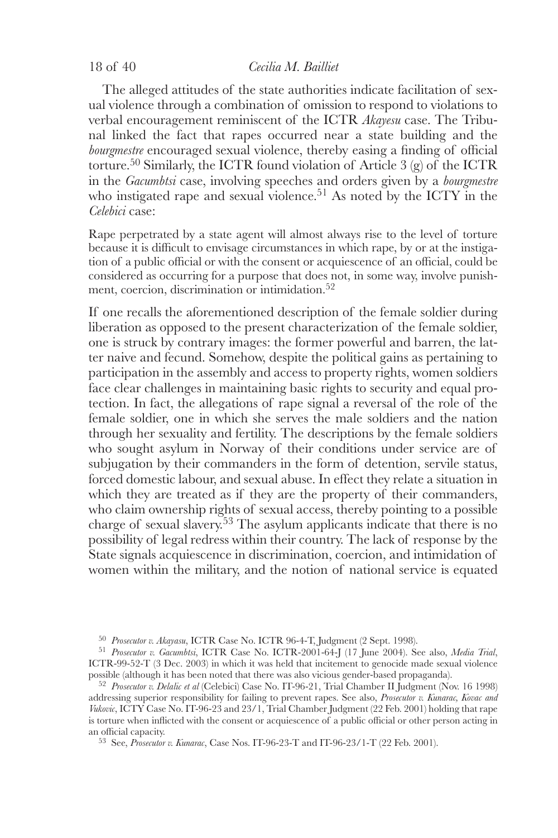The alleged attitudes of the state authorities indicate facilitation of sexual violence through a combination of omission to respond to violations to verbal encouragement reminiscent of the ICTR *Akayesu* case. The Tribunal linked the fact that rapes occurred near a state building and the *bourgmestre* encouraged sexual violence, thereby easing a finding of official torture.<sup>50</sup> Similarly, the ICTR found violation of Article 3 (g) of the ICTR in the *Gacumbtsi* case, involving speeches and orders given by a *bourgmestre* who instigated rape and sexual violence.<sup>51</sup> As noted by the ICTY in the *Celebici* case:

 Rape perpetrated by a state agent will almost always rise to the level of torture because it is difficult to envisage circumstances in which rape, by or at the instigation of a public official or with the consent or acquiescence of an official, could be considered as occurring for a purpose that does not, in some way, involve punishment, coercion, discrimination or intimidation. 52

If one recalls the aforementioned description of the female soldier during liberation as opposed to the present characterization of the female soldier, one is struck by contrary images: the former powerful and barren, the latter naive and fecund. Somehow, despite the political gains as pertaining to participation in the assembly and access to property rights, women soldiers face clear challenges in maintaining basic rights to security and equal protection. In fact, the allegations of rape signal a reversal of the role of the female soldier, one in which she serves the male soldiers and the nation through her sexuality and fertility. The descriptions by the female soldiers who sought asylum in Norway of their conditions under service are of subjugation by their commanders in the form of detention, servile status, forced domestic labour, and sexual abuse. In effect they relate a situation in which they are treated as if they are the property of their commanders, who claim ownership rights of sexual access, thereby pointing to a possible charge of sexual slavery.<sup>53</sup> The asylum applicants indicate that there is no possibility of legal redress within their country. The lack of response by the State signals acquiescence in discrimination, coercion, and intimidation of women within the military, and the notion of national service is equated

<sup>50</sup>*Prosecutor v. Akayasu* , ICTR Case No. ICTR 96-4-T, Judgment (2 Sept. 1998). 51 *Prosecutor v. Gacumbtsi* , ICTR Case No. ICTR-2001-64-J (17 June 2004). See also, *Media Trial* , ICTR-99-52-T (3 Dec. 2003) in which it was held that incitement to genocide made sexual violence possible (although it has been noted that there was also vicious gender-based propaganda).

<sup>52</sup> Prosecutor v. Delalic et al (Celebici) Case No. IT-96-21, Trial Chamber II Judgment (Nov. 16 1998) addressing superior responsibility for failing to prevent rapes. See also, *Prosecutor v. Kunarac, Kovac and Vukovic* , ICTY Case No. IT-96-23 and 23/1, Trial Chamber Judgment (22 Feb. 2001) holding that rape is torture when inflicted with the consent or acquiescence of a public official or other person acting in an official capacity.

<sup>53</sup> See, *Prosecutor v. Kunarac*, Case Nos. IT-96-23-T and IT-96-23/1-T (22 Feb. 2001).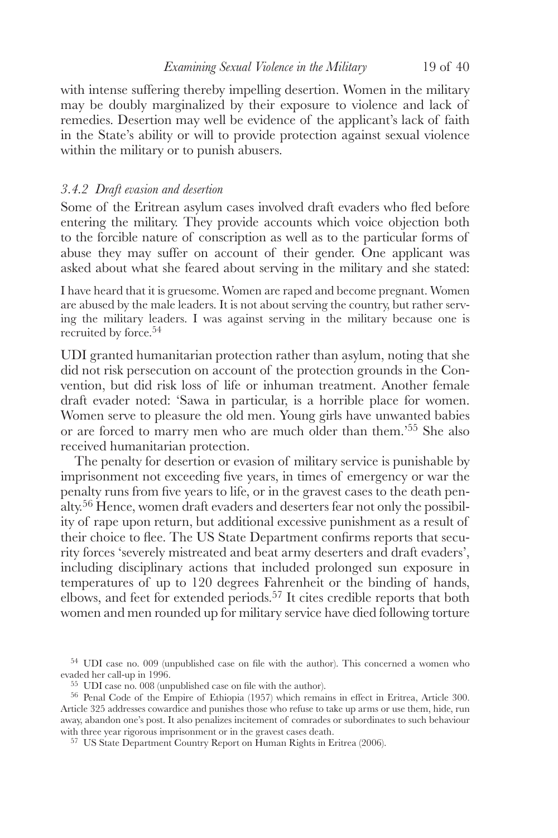with intense suffering thereby impelling desertion. Women in the military may be doubly marginalized by their exposure to violence and lack of remedies. Desertion may well be evidence of the applicant's lack of faith in the State's ability or will to provide protection against sexual violence within the military or to punish abusers.

#### *3.4.2 Draft evasion and desertion*

Some of the Eritrean asylum cases involved draft evaders who fled before entering the military. They provide accounts which voice objection both to the forcible nature of conscription as well as to the particular forms of abuse they may suffer on account of their gender. One applicant was asked about what she feared about serving in the military and she stated:

 I have heard that it is gruesome. Women are raped and become pregnant. Women are abused by the male leaders. It is not about serving the country, but rather serving the military leaders. I was against serving in the military because one is recruited by force. 54

UDI granted humanitarian protection rather than asylum, noting that she did not risk persecution on account of the protection grounds in the Convention, but did risk loss of life or inhuman treatment. Another female draft evader noted: 'Sawa in particular, is a horrible place for women. Women serve to pleasure the old men. Young girls have unwanted babies or are forced to marry men who are much older than them.<sup>55</sup> She also received humanitarian protection.

 The penalty for desertion or evasion of military service is punishable by imprisonment not exceeding five years, in times of emergency or war the penalty runs from five years to life, or in the gravest cases to the death penalty. 56 Hence, women draft evaders and deserters fear not only the possibility of rape upon return, but additional excessive punishment as a result of their choice to flee. The US State Department confirms reports that security forces 'severely mistreated and beat army deserters and draft evaders', including disciplinary actions that included prolonged sun exposure in temperatures of up to 120 degrees Fahrenheit or the binding of hands, elbows, and feet for extended periods. 57 It cites credible reports that both women and men rounded up for military service have died following torture

 $54$  UDI case no. 009 (unpublished case on file with the author). This concerned a women who evaded her call-up in 1996.

<sup>&</sup>lt;sup>55</sup> UDI case no. 008 (unpublished case on file with the author).  $56$  Penal Code of the Empire of Ethiopia (1957) which remains in effect in Eritrea, Article 300. Article 325 addresses cowardice and punishes those who refuse to take up arms or use them, hide, run away, abandon one's post. It also penalizes incitement of comrades or subordinates to such behaviour

<sup>&</sup>lt;sup>57</sup> US State Department Country Report on Human Rights in Eritrea (2006).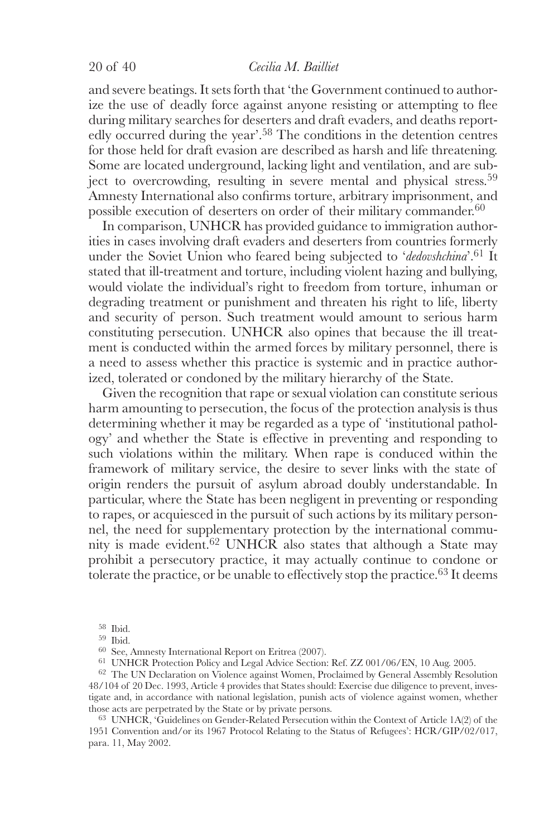and severe beatings. It sets forth that 'the Government continued to authorize the use of deadly force against anyone resisting or attempting to flee during military searches for deserters and draft evaders, and deaths reportedly occurred during the year'.<sup>58</sup> The conditions in the detention centres for those held for draft evasion are described as harsh and life threatening. Some are located underground, lacking light and ventilation, and are subject to overcrowding, resulting in severe mental and physical stress. 59 Amnesty International also confirms torture, arbitrary imprisonment, and possible execution of deserters on order of their military commander. 60

 In comparison, UNHCR has provided guidance to immigration authorities in cases involving draft evaders and deserters from countries formerly under the Soviet Union who feared being subjected to 'dedovshchina'.<sup>61</sup> It stated that ill-treatment and torture, including violent hazing and bullying, would violate the individual's right to freedom from torture, inhuman or degrading treatment or punishment and threaten his right to life, liberty and security of person. Such treatment would amount to serious harm constituting persecution. UNHCR also opines that because the ill treatment is conducted within the armed forces by military personnel, there is a need to assess whether this practice is systemic and in practice authorized, tolerated or condoned by the military hierarchy of the State.

 Given the recognition that rape or sexual violation can constitute serious harm amounting to persecution, the focus of the protection analysis is thus determining whether it may be regarded as a type of 'institutional pathology ' and whether the State is effective in preventing and responding to such violations within the military. When rape is conduced within the framework of military service, the desire to sever links with the state of origin renders the pursuit of asylum abroad doubly understandable. In particular, where the State has been negligent in preventing or responding to rapes, or acquiesced in the pursuit of such actions by its military personnel, the need for supplementary protection by the international community is made evident.<sup>62</sup> UNHCR also states that although a State may prohibit a persecutory practice, it may actually continue to condone or tolerate the practice, or be unable to effectively stop the practice. 63 It deems

58 Ibid.

60 See, Amnesty International Report on Eritrea (2007).

61 UNHCR Protection Policy and Legal Advice Section: Ref. ZZ 001/06/EN, 10 Aug. 2005.

62 The UN Declaration on Violence against Women, Proclaimed by General Assembly Resolution 48/104 of 20 Dec. 1993, Article 4 provides that States should: Exercise due diligence to prevent, investigate and, in accordance with national legislation, punish acts of violence against women, whether those acts are perpetrated by the State or by private persons.<br><sup>63</sup> UNHCR, 'Guidelines on Gender-Related Persecution within the Context of Article 1A(2) of the

1951 Convention and/or its 1967 Protocol Relating to the Status of Refugees ' : HCR/GIP/02/017, para. 11, May 2002.

<sup>59</sup> Ibid.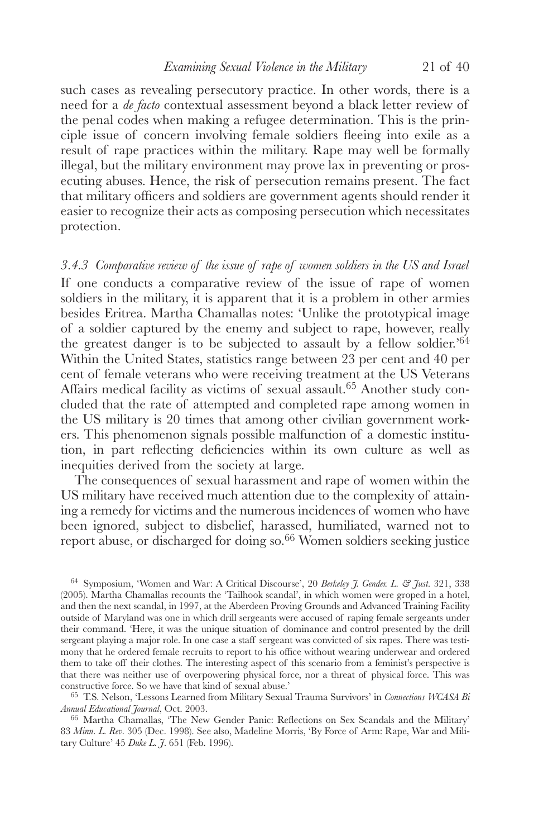such cases as revealing persecutory practice. In other words, there is a need for a *de facto* contextual assessment beyond a black letter review of the penal codes when making a refugee determination. This is the principle issue of concern involving female soldiers fleeing into exile as a result of rape practices within the military. Rape may well be formally illegal, but the military environment may prove lax in preventing or prosecuting abuses. Hence, the risk of persecution remains present. The fact that military officers and soldiers are government agents should render it easier to recognize their acts as composing persecution which necessitates protection.

 *3.4.3 Comparative review of the issue of rape of women soldiers in the US and Israel*  If one conducts a comparative review of the issue of rape of women

soldiers in the military, it is apparent that it is a problem in other armies besides Eritrea. Martha Chamallas notes: 'Unlike the prototypical image of a soldier captured by the enemy and subject to rape, however, really the greatest danger is to be subjected to assault by a fellow soldier.<sup>'64</sup> Within the United States, statistics range between 23 per cent and 40 per cent of female veterans who were receiving treatment at the US Veterans Affairs medical facility as victims of sexual assault. 65 Another study concluded that the rate of attempted and completed rape among women in the US military is 20 times that among other civilian government workers. This phenomenon signals possible malfunction of a domestic institution, in part reflecting deficiencies within its own culture as well as inequities derived from the society at large.

 The consequences of sexual harassment and rape of women within the US military have received much attention due to the complexity of attaining a remedy for victims and the numerous incidences of women who have been ignored, subject to disbelief, harassed, humiliated, warned not to report abuse, or discharged for doing so. 66 Women soldiers seeking justice

<sup>64</sup> Symposium, 'Women and War: A Critical Discourse', 20 *Berkeley J. Gender. L. & Just.* 321, 338 (2005). Martha Chamallas recounts the 'Tailhook scandal', in which women were groped in a hotel, and then the next scandal, in 1997, at the Aberdeen Proving Grounds and Advanced Training Facility outside of Maryland was one in which drill sergeants were accused of raping female sergeants under their command. 'Here, it was the unique situation of dominance and control presented by the drill sergeant playing a major role. In one case a staff sergeant was convicted of six rapes. There was testimony that he ordered female recruits to report to his office without wearing underwear and ordered them to take off their clothes. The interesting aspect of this scenario from a feminist's perspective is that there was neither use of overpowering physical force, nor a threat of physical force. This was constructive force. So we have that kind of sexual abuse.'

<sup>65</sup> T.S. Nelson, 'Lessons Learned from Military Sexual Trauma Survivors' in *Connections WCASA Bi Annual Educational Journal*, Oct. 2003.<br><sup>66</sup> Martha Chamallas, 'The New Gender Panic: Reflections on Sex Scandals and the Military'

83 *Minn. L. Rev.* 305 (Dec. 1998). See also, Madeline Morris, 'By Force of Arm: Rape, War and Military Culture' 45 *Duke L.* 7. 651 (Feb. 1996).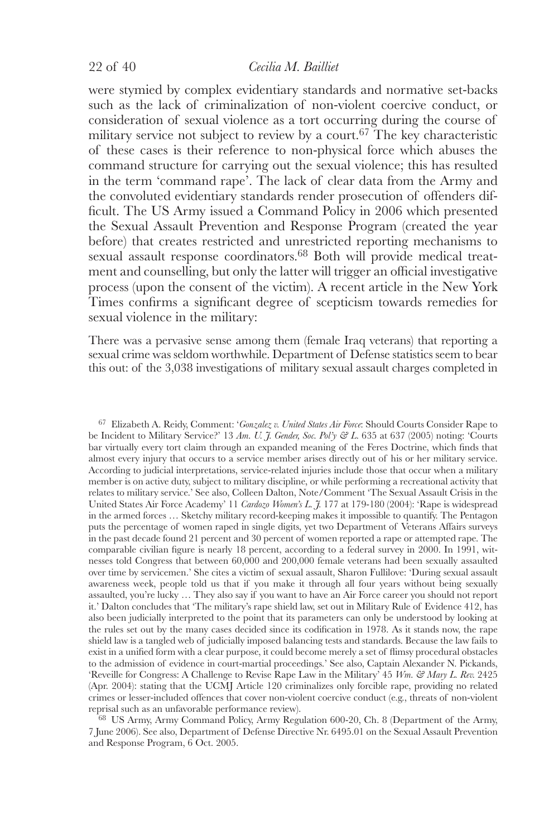were stymied by complex evidentiary standards and normative set-backs such as the lack of criminalization of non-violent coercive conduct, or consideration of sexual violence as a tort occurring during the course of military service not subject to review by a court.  $67$  The key characteristic of these cases is their reference to non-physical force which abuses the command structure for carrying out the sexual violence; this has resulted in the term 'command rape'. The lack of clear data from the Army and the convoluted evidentiary standards render prosecution of offenders difficult. The US Army issued a Command Policy in 2006 which presented the Sexual Assault Prevention and Response Program (created the year before) that creates restricted and unrestricted reporting mechanisms to sexual assault response coordinators.<sup>68</sup> Both will provide medical treatment and counselling, but only the latter will trigger an official investigative process (upon the consent of the victim). A recent article in the New York Times confirms a significant degree of scepticism towards remedies for sexual violence in the military:

 There was a pervasive sense among them (female Iraq veterans) that reporting a sexual crime was seldom worthwhile. Department of Defense statistics seem to bear this out: of the 3,038 investigations of military sexual assault charges completed in

67 Elizabeth A. Reidy, Comment: ' *Gonzalez v. United States Air Force* : Should Courts Consider Rape to be Incident to Military Service?' 13 Am. U. J. Gender, Soc. Pol'y & L. 635 at 637 (2005) noting: 'Courts bar virtually every tort claim through an expanded meaning of the Feres Doctrine, which finds that almost every injury that occurs to a service member arises directly out of his or her military service. According to judicial interpretations, service-related injuries include those that occur when a military member is on active duty, subject to military discipline, or while performing a recreational activity that relates to military service. ' See also, Colleen Dalton, Note/Comment ' The Sexual Assault Crisis in the United States Air Force Academy' 11 *Cardozo Women's L. J.* 177 at 179-180 (2004): 'Rape is widespread in the armed forces … Sketchy military record-keeping makes it impossible to quantify. The Pentagon puts the percentage of women raped in single digits, yet two Department of Veterans Affairs surveys in the past decade found 21 percent and 30 percent of women reported a rape or attempted rape. The comparable civilian figure is nearly 18 percent, according to a federal survey in 2000. In 1991, witnesses told Congress that between 60,000 and 200,000 female veterans had been sexually assaulted over time by servicemen. ' She cites a victim of sexual assault, Sharon Fullilove: ' During sexual assault awareness week, people told us that if you make it through all four years without being sexually assaulted, you're lucky … They also say if you want to have an Air Force career you should not report it.' Dalton concludes that 'The military's rape shield law, set out in Military Rule of Evidence 412, has also been judicially interpreted to the point that its parameters can only be understood by looking at the rules set out by the many cases decided since its codification in 1978. As it stands now, the rape shield law is a tangled web of judicially imposed balancing tests and standards. Because the law fails to exist in a unified form with a clear purpose, it could become merely a set of flimsy procedural obstacles to the admission of evidence in court-martial proceedings. ' See also, Captain Alexander N. Pickands, 'Reveille for Congress: A Challenge to Revise Rape Law in the Military<sup>'</sup> 45 *Wm. & Mary L. Rev.* 2425 (Apr. 2004): stating that the UCMJ Article 120 criminalizes only forcible rape, providing no related crimes or lesser-included offences that cover non-violent coercive conduct (e.g., threats of non-violent reprisal such as an unfavorable performance review). 68 US Army, Army Command Policy, Army Regulation 600-20, Ch. 8 (Department of the Army,

7 June 2006). See also, Department of Defense Directive Nr. 6495.01 on the Sexual Assault Prevention and Response Program, 6 Oct. 2005.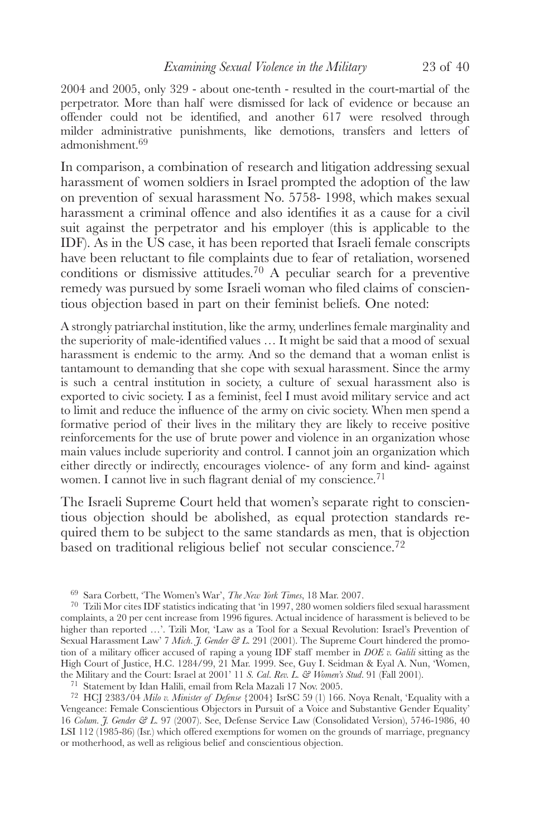2004 and 2005, only 329 - about one-tenth - resulted in the court-martial of the perpetrator. More than half were dismissed for lack of evidence or because an offender could not be identified, and another 617 were resolved through milder administrative punishments, like demotions, transfers and letters of admonishment. 69

In comparison, a combination of research and litigation addressing sexual harassment of women soldiers in Israel prompted the adoption of the law on prevention of sexual harassment No. 5758- 1998, which makes sexual harassment a criminal offence and also identifies it as a cause for a civil suit against the perpetrator and his employer (this is applicable to the IDF). As in the US case, it has been reported that Israeli female conscripts have been reluctant to file complaints due to fear of retaliation, worsened conditions or dismissive attitudes. 70 A peculiar search for a preventive remedy was pursued by some Israeli woman who filed claims of conscientious objection based in part on their feminist beliefs. One noted:

 A strongly patriarchal institution, like the army, underlines female marginality and the superiority of male-identified values  $\dots$  It might be said that a mood of sexual harassment is endemic to the army. And so the demand that a woman enlist is tantamount to demanding that she cope with sexual harassment. Since the army is such a central institution in society, a culture of sexual harassment also is exported to civic society. I as a feminist, feel I must avoid military service and act to limit and reduce the influence of the army on civic society. When men spend a formative period of their lives in the military they are likely to receive positive reinforcements for the use of brute power and violence in an organization whose main values include superiority and control. I cannot join an organization which either directly or indirectly, encourages violence- of any form and kind- against women. I cannot live in such flagrant denial of my conscience.<sup>71</sup>

The Israeli Supreme Court held that women's separate right to conscientious objection should be abolished, as equal protection standards required them to be subject to the same standards as men, that is objection based on traditional religious belief not secular conscience. 72

<sup>&</sup>lt;sup>69</sup> Sara Corbett, 'The Women's War', *The New York Times*, 18 Mar. 2007.<br><sup>70</sup> Tzili Mor cites IDF statistics indicating that 'in 1997, 280 women soldiers filed sexual harassment complaints, a 20 per cent increase from 1996 figures. Actual incidence of harassment is believed to be higher than reported ...'. Tzili Mor, 'Law as a Tool for a Sexual Revolution: Israel's Prevention of Sexual Harassment Law ' 7 *Mich.* J. Gender & L. 291 (2001). The Supreme Court hindered the promotion of a military officer accused of raping a young IDF staff member in *DOE v. Galili* sitting as the High Court of Justice, H.C. 1284/99, 21 Mar. 1999. See, Guy I. Seidman & Eyal A. Nun, ' Women, the Military and the Court: Israel at 2001' 11 *S. Cal. Rev. L. & Women's Stud.* 91 (Fall 2001).<br><sup>71</sup> Statement by Idan Halili, email from Rela Mazali 17 Nov. 2005.

<sup>&</sup>lt;sup>72</sup> HCJ 2383/04 *Milo v. Minister of Defense* {2004} IsrSC 59 (1) 166. Noya Renalt, 'Equality with a Vengeance: Female Conscientious Objectors in Pursuit of a Voice and Substantive Gender Equality ' 16 *Colum. J. Gender & L* . 97 (2007). See, Defense Service Law (Consolidated Version), 5746-1986, 40 LSI 112 (1985-86) (Isr.) which offered exemptions for women on the grounds of marriage, pregnancy or motherhood, as well as religious belief and conscientious objection.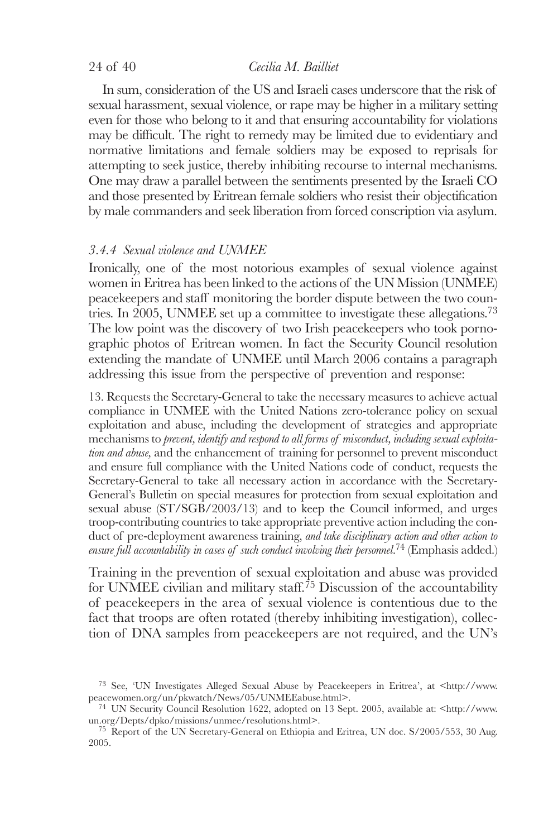In sum, consideration of the US and Israeli cases underscore that the risk of sexual harassment, sexual violence, or rape may be higher in a military setting even for those who belong to it and that ensuring accountability for violations may be difficult. The right to remedy may be limited due to evidentiary and normative limitations and female soldiers may be exposed to reprisals for attempting to seek justice, thereby inhibiting recourse to internal mechanisms. One may draw a parallel between the sentiments presented by the Israeli CO and those presented by Eritrean female soldiers who resist their objectification by male commanders and seek liberation from forced conscription via asylum.

#### *3.4.4 Sexual violence and UNMEE*

 Ironically, one of the most notorious examples of sexual violence against women in Eritrea has been linked to the actions of the UN Mission (UNMEE) peacekeepers and staff monitoring the border dispute between the two countries. In 2005, UNMEE set up a committee to investigate these allegations.<sup>73</sup> The low point was the discovery of two Irish peacekeepers who took pornographic photos of Eritrean women. In fact the Security Council resolution extending the mandate of UNMEE until March 2006 contains a paragraph addressing this issue from the perspective of prevention and response:

 13. Requests the Secretary-General to take the necessary measures to achieve actual compliance in UNMEE with the United Nations zero-tolerance policy on sexual exploitation and abuse, including the development of strategies and appropriate mechanisms to *prevent, identify and respond to all forms of misconduct, including sexual exploitation and abuse,* and the enhancement of training for personnel to prevent misconduct and ensure full compliance with the United Nations code of conduct, requests the Secretary-General to take all necessary action in accordance with the Secretary-General's Bulletin on special measures for protection from sexual exploitation and sexual abuse (ST/SGB/2003/13) and to keep the Council informed, and urges troop-contributing countries to take appropriate preventive action including the conduct of pre-deployment awareness training, *and take disciplinary action and other action to ensure full accountability in cases of such conduct involving their personnel.*74 (Emphasis added.)

Training in the prevention of sexual exploitation and abuse was provided for UNMEE civilian and military staff.  $\frac{75}{15}$  Discussion of the accountability of peacekeepers in the area of sexual violence is contentious due to the fact that troops are often rotated (thereby inhibiting investigation), collection of DNA samples from peacekeepers are not required, and the UN's

<sup>&</sup>lt;sup>73</sup> See, 'UN Investigates Alleged Sexual Abuse by Peacekeepers in Eritrea', at  $\text{Shtip:}/\text{/www.}$  peacewomen.org/un/pkwatch/News/05/UNMEEabuse.html>.

<sup>&</sup>lt;sup>74</sup> UN Security Council Resolution 1622, adopted on 13 Sept. 2005, available at: <http://www.un.org/Depts/dpko/missions/unmee/resolutions.html>.

<sup>&</sup>lt;sup>75</sup> Report of the UN Secretary-General on Ethiopia and Eritrea, UN doc. S/2005/553, 30 Aug. 2005.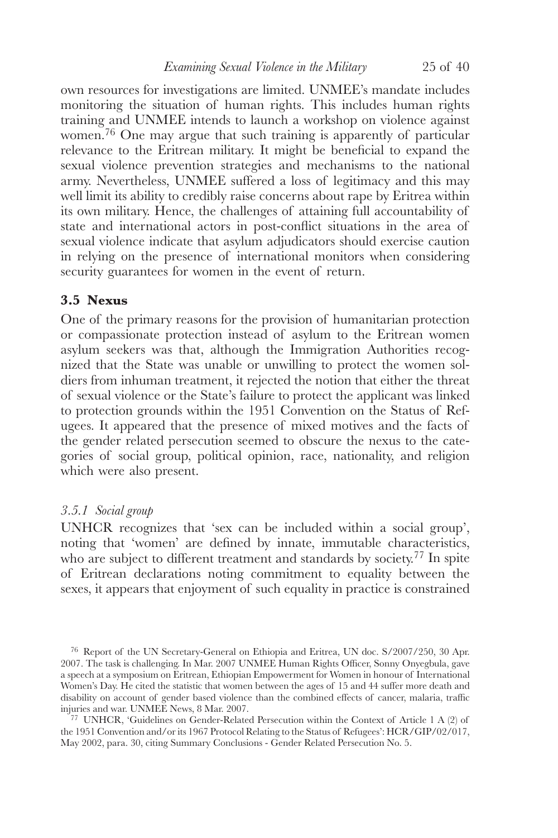own resources for investigations are limited. UNMEE's mandate includes monitoring the situation of human rights. This includes human rights training and UNMEE intends to launch a workshop on violence against women.<sup>76</sup> One may argue that such training is apparently of particular relevance to the Eritrean military. It might be beneficial to expand the sexual violence prevention strategies and mechanisms to the national army. Nevertheless, UNMEE suffered a loss of legitimacy and this may well limit its ability to credibly raise concerns about rape by Eritrea within its own military. Hence, the challenges of attaining full accountability of state and international actors in post-conflict situations in the area of sexual violence indicate that asylum adjudicators should exercise caution in relying on the presence of international monitors when considering security guarantees for women in the event of return.

#### **3.5 Nexus**

 One of the primary reasons for the provision of humanitarian protection or compassionate protection instead of asylum to the Eritrean women asylum seekers was that, although the Immigration Authorities recognized that the State was unable or unwilling to protect the women soldiers from inhuman treatment, it rejected the notion that either the threat of sexual violence or the State's failure to protect the applicant was linked to protection grounds within the 1951 Convention on the Status of Refugees. It appeared that the presence of mixed motives and the facts of the gender related persecution seemed to obscure the nexus to the categories of social group, political opinion, race, nationality, and religion which were also present.

#### *3.5.1 Social group*

UNHCR recognizes that 'sex can be included within a social group', noting that 'women' are defined by innate, immutable characteristics, who are subject to different treatment and standards by society.<sup>77</sup> In spite of Eritrean declarations noting commitment to equality between the sexes, it appears that enjoyment of such equality in practice is constrained

76 Report of the UN Secretary-General on Ethiopia and Eritrea, UN doc. S/2007/250, 30 Apr. 2007. The task is challenging. In Mar. 2007 UNMEE Human Rights Officer, Sonny Onyegbula, gave a speech at a symposium on Eritrean, Ethiopian Empowerment for Women in honour of International Women's Day. He cited the statistic that women between the ages of 15 and 44 suffer more death and disability on account of gender based violence than the combined effects of cancer, malaria, traffic injuries and war. UNMEE News, 8 Mar. 2007.

<sup>77</sup> UNHCR, 'Guidelines on Gender-Related Persecution within the Context of Article 1 A  $(2)$  of the 1951 Convention and/or its 1967 Protocol Relating to the Status of Refugees': HCR/GIP/02/017, May 2002, para. 30, citing Summary Conclusions - Gender Related Persecution No. 5.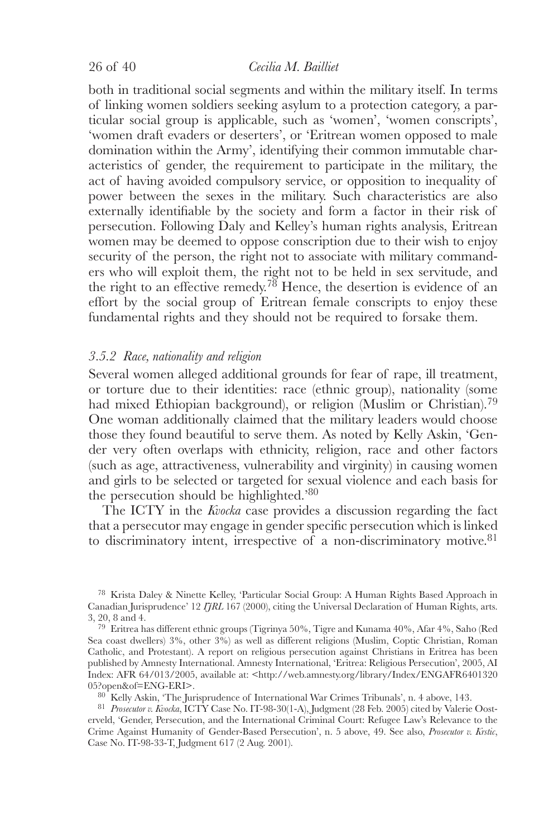both in traditional social segments and within the military itself. In terms of linking women soldiers seeking asylum to a protection category, a particular social group is applicable, such as 'women', 'women conscripts', ' women draft evaders or deserters', or 'Eritrean women opposed to male domination within the Army', identifying their common immutable characteristics of gender, the requirement to participate in the military, the act of having avoided compulsory service, or opposition to inequality of power between the sexes in the military. Such characteristics are also externally identifiable by the society and form a factor in their risk of persecution. Following Daly and Kelley's human rights analysis, Eritrean women may be deemed to oppose conscription due to their wish to enjoy security of the person, the right not to associate with military commanders who will exploit them, the right not to be held in sex servitude, and the right to an effective remedy.<sup>78</sup> Hence, the desertion is evidence of an effort by the social group of Eritrean female conscripts to enjoy these fundamental rights and they should not be required to forsake them.

#### *3.5.2 Race, nationality and religion*

 Several women alleged additional grounds for fear of rape, ill treatment, or torture due to their identities: race (ethnic group), nationality (some had mixed Ethiopian background), or religion (Muslim or Christian).<sup>79</sup> One woman additionally claimed that the military leaders would choose those they found beautiful to serve them. As noted by Kelly Askin, 'Gender very often overlaps with ethnicity, religion, race and other factors (such as age, attractiveness, vulnerability and virginity) in causing women and girls to be selected or targeted for sexual violence and each basis for the persecution should be highlighted.<sup>'80</sup>

 The ICTY in the *Kvocka* case provides a discussion regarding the fact that a persecutor may engage in gender specific persecution which is linked to discriminatory intent, irrespective of a non-discriminatory motive. 81

<sup>&</sup>lt;sup>78</sup> Krista Daley & Ninette Kelley, 'Particular Social Group: A Human Rights Based Approach in Canadian Jurisprudence' 12 *IJRL* 167 (2000), citing the Universal Declaration of Human Rights, arts.<br>3, 20, 8 and 4.

<sup>&</sup>lt;sup>79</sup> Eritrea has different ethnic groups (Tigrinya 50%, Tigre and Kunama 40%, Afar 4%, Saho (Red Sea coast dwellers) 3%, other 3%) as well as different religions (Muslim, Coptic Christian, Roman Catholic, and Protestant). A report on religious persecution against Christians in Eritrea has been published by Amnesty International. Amnesty International, 'Eritrea: Religious Persecution', 2005, AI Index: AFR 64/013/2005, available at: < http://web.amnesty.org/library/Index/ENGAFR6401320

 $^{80}$ <sup>\*</sup>Kelly Askin, 'The Jurisprudence of International War Crimes Tribunals', n. 4 above, 143.<br><sup>81</sup> *Prosecutor v. Kvocka*, ICTY Case No. IT-98-30(1-A), Judgment (28 Feb. 2005) cited by Valerie Oost-

erveld, 'Gender, Persecution, and the International Criminal Court: Refugee Law's Relevance to the Crime Against Humanity of Gender-Based Persecution', n. 5 above, 49. See also, *Prosecutor v. Krstic*, Case No. IT-98-33-T, Judgment 617 (2 Aug. 2001).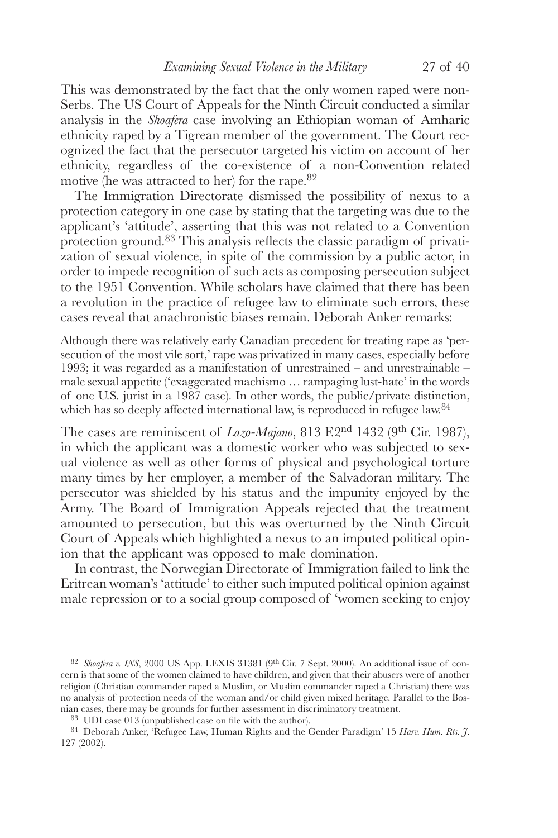This was demonstrated by the fact that the only women raped were non-Serbs. The US Court of Appeals for the Ninth Circuit conducted a similar analysis in the *Shoafera* case involving an Ethiopian woman of Amharic ethnicity raped by a Tigrean member of the government. The Court recognized the fact that the persecutor targeted his victim on account of her ethnicity, regardless of the co-existence of a non-Convention related motive (he was attracted to her) for the rape.<sup>82</sup>

 The Immigration Directorate dismissed the possibility of nexus to a protection category in one case by stating that the targeting was due to the applicant's 'attitude', asserting that this was not related to a Convention protection ground.  $83$  This analysis reflects the classic paradigm of privatization of sexual violence, in spite of the commission by a public actor, in order to impede recognition of such acts as composing persecution subject to the 1951 Convention. While scholars have claimed that there has been a revolution in the practice of refugee law to eliminate such errors, these cases reveal that anachronistic biases remain. Deborah Anker remarks:

Although there was relatively early Canadian precedent for treating rape as 'persecution of the most vile sort,' rape was privatized in many cases, especially before 1993; it was regarded as a manifestation of unrestrained – and unrestrainable – male sexual appetite ('exaggerated machismo ... rampaging lust-hate' in the words of one U.S. jurist in a 1987 case). In other words, the public/private distinction, which has so deeply affected international law, is reproduced in refugee law. <sup>84</sup>

The cases are reminiscent of *Lazo-Majano*, 813 F.2<sup>nd</sup> 1432 (9<sup>th</sup> Cir. 1987), in which the applicant was a domestic worker who was subjected to sexual violence as well as other forms of physical and psychological torture many times by her employer, a member of the Salvadoran military. The persecutor was shielded by his status and the impunity enjoyed by the Army. The Board of Immigration Appeals rejected that the treatment amounted to persecution, but this was overturned by the Ninth Circuit Court of Appeals which highlighted a nexus to an imputed political opinion that the applicant was opposed to male domination.

 In contrast, the Norwegian Directorate of Immigration failed to link the Eritrean woman's 'attitude' to either such imputed political opinion against male repression or to a social group composed of 'women seeking to enjoy

<sup>83</sup> UDI case 013 (unpublished case on file with the author).<br><sup>84</sup> Deborah Anker, 'Refugee Law, Human Rights and the Gender Paradigm' 15 Harv. Hum. Rts. 7. 127 (2002).

<sup>&</sup>lt;sup>82</sup> *Shoafera v. INS*, 2000 US App. LEXIS 31381 (9<sup>th</sup> Cir. 7 Sept. 2000). An additional issue of concern is that some of the women claimed to have children, and given that their abusers were of another religion (Christian commander raped a Muslim, or Muslim commander raped a Christian) there was no analysis of protection needs of the woman and/or child given mixed heritage. Parallel to the Bos-<br>nian cases, there may be grounds for further assessment in discriminatory treatment.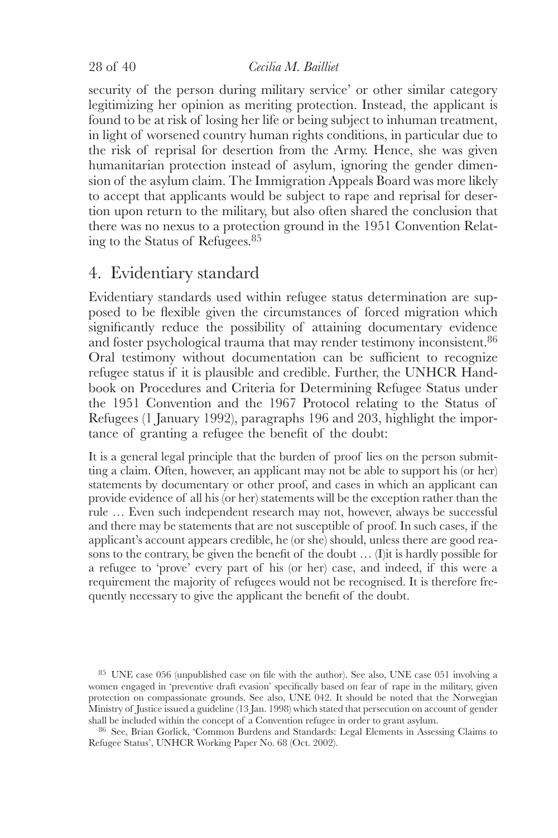security of the person during military service' or other similar category legitimizing her opinion as meriting protection. Instead, the applicant is found to be at risk of losing her life or being subject to inhuman treatment, in light of worsened country human rights conditions, in particular due to the risk of reprisal for desertion from the Army. Hence, she was given humanitarian protection instead of asylum, ignoring the gender dimension of the asylum claim. The Immigration Appeals Board was more likely to accept that applicants would be subject to rape and reprisal for desertion upon return to the military, but also often shared the conclusion that there was no nexus to a protection ground in the 1951 Convention Relating to the Status of Refugees. 85

## 4. Evidentiary standard

 Evidentiary standards used within refugee status determination are supposed to be flexible given the circumstances of forced migration which significantly reduce the possibility of attaining documentary evidence and foster psychological trauma that may render testimony inconsistent. 86 Oral testimony without documentation can be sufficient to recognize refugee status if it is plausible and credible. Further, the UNHCR Handbook on Procedures and Criteria for Determining Refugee Status under the 1951 Convention and the 1967 Protocol relating to the Status of Refugees (1 January 1992), paragraphs 196 and 203, highlight the importance of granting a refugee the benefit of the doubt:

 It is a general legal principle that the burden of proof lies on the person submitting a claim. Often, however, an applicant may not be able to support his (or her) statements by documentary or other proof, and cases in which an applicant can provide evidence of all his (or her) statements will be the exception rather than the rule … Even such independent research may not, however, always be successful and there may be statements that are not susceptible of proof. In such cases, if the applicant's account appears credible, he (or she) should, unless there are good reasons to the contrary, be given the benefit of the doubt  $\ldots$  (I)it is hardly possible for a refugee to 'prove' every part of his (or her) case, and indeed, if this were a requirement the majority of refugees would not be recognised. It is therefore frequently necessary to give the applicant the benefit of the doubt.

<sup>&</sup>lt;sup>85</sup> UNE case 056 (unpublished case on file with the author). See also, UNE case 051 involving a women engaged in 'preventive draft evasion' specifically based on fear of rape in the military, given protection on compassionate grounds. See also, UNE 042. It should be noted that the Norwegian Ministry of Justice issued a guideline (13 Jan. 1998) which stated that persecution on account of gender

<sup>&</sup>lt;sup>86</sup> See, Brian Gorlick, 'Common Burdens and Standards: Legal Elements in Assessing Claims to Refugee Status', UNHCR Working Paper No. 68 (Oct. 2002).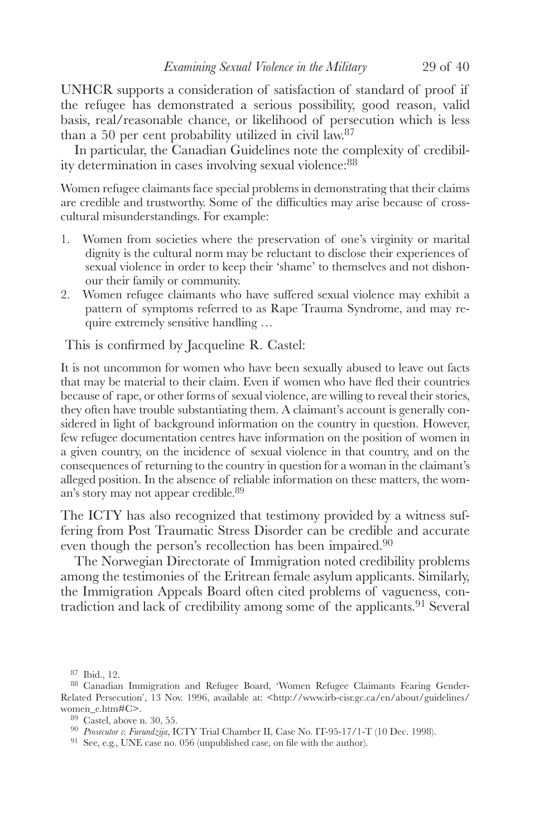UNHCR supports a consideration of satisfaction of standard of proof if the refugee has demonstrated a serious possibility, good reason, valid basis, real/reasonable chance, or likelihood of persecution which is less than a 50 per cent probability utilized in civil law.  $87$ 

 In particular, the Canadian Guidelines note the complexity of credibility determination in cases involving sexual violence: <sup>88</sup>

 Women refugee claimants face special problems in demonstrating that their claims are credible and trustworthy. Some of the difficulties may arise because of crosscultural misunderstandings. For example:

- 1. Women from societies where the preservation of one's virginity or marital dignity is the cultural norm may be reluctant to disclose their experiences of sexual violence in order to keep their 'shame' to themselves and not dishonour their family or community.
- 2. Women refugee claimants who have suffered sexual violence may exhibit a pattern of symptoms referred to as Rape Trauma Syndrome, and may require extremely sensitive handling …

This is confirmed by Jacqueline R. Castel:

 It is not uncommon for women who have been sexually abused to leave out facts that may be material to their claim. Even if women who have fled their countries because of rape, or other forms of sexual violence, are willing to reveal their stories, they often have trouble substantiating them. A claimant's account is generally considered in light of background information on the country in question. However, few refugee documentation centres have information on the position of women in a given country, on the incidence of sexual violence in that country, and on the consequences of returning to the country in question for a woman in the claimant's alleged position. In the absence of reliable information on these matters, the woman's story may not appear credible. 89

The ICTY has also recognized that testimony provided by a witness suffering from Post Traumatic Stress Disorder can be credible and accurate even though the person's recollection has been impaired.<sup>90</sup>

 The Norwegian Directorate of Immigration noted credibility problems among the testimonies of the Eritrean female asylum applicants. Similarly, the Immigration Appeals Board often cited problems of vagueness, contradiction and lack of credibility among some of the applicants. 91 Several

<sup>87</sup> Ibid., 12.

<sup>88</sup> Canadian Immigration and Refugee Board, 'Women Refugee Claimants Fearing Gender-Related Persecution', 13 Nov. 1996, available at: <http://www.irb-cisr.gc.ca/en/about/guidelines/ women\_e.htm#C>.<br><sup>89</sup> Castel, above n. 30, 55.<br><sup>90</sup> *Prosecutor v. Furundzija*, ICTY Trial Chamber II, Case No. IT-95-17/1-T (10 Dec. 1998).

<sup>&</sup>lt;sup>91</sup> See, e.g., UNE case no. 056 (unpublished case, on file with the author).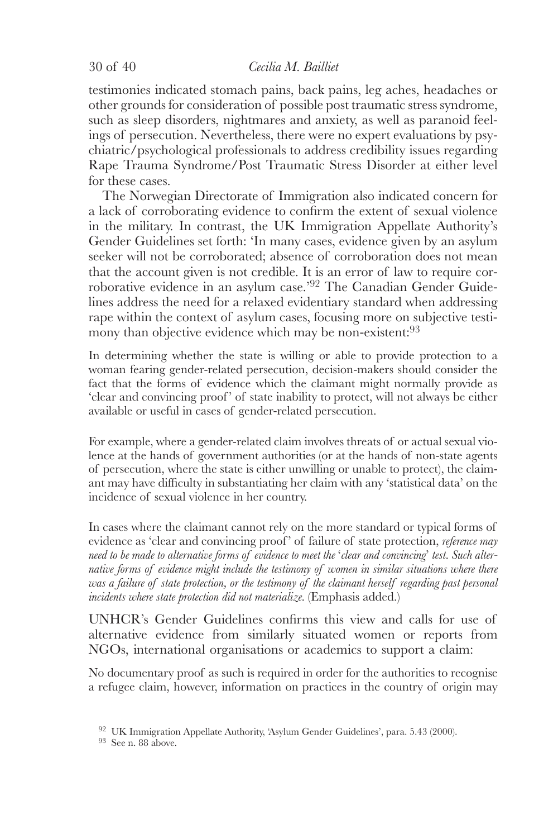testimonies indicated stomach pains, back pains, leg aches, headaches or other grounds for consideration of possible post traumatic stress syndrome, such as sleep disorders, nightmares and anxiety, as well as paranoid feelings of persecution. Nevertheless, there were no expert evaluations by psychiatric/psychological professionals to address credibility issues regarding Rape Trauma Syndrome/Post Traumatic Stress Disorder at either level for these cases.

 The Norwegian Directorate of Immigration also indicated concern for a lack of corroborating evidence to confirm the extent of sexual violence in the military. In contrast, the UK Immigration Appellate Authority's Gender Guidelines set forth: 'In many cases, evidence given by an asylum seeker will not be corroborated; absence of corroboration does not mean that the account given is not credible. It is an error of law to require corroborative evidence in an asylum case.<sup> $92$ </sup> The Canadian Gender Guidelines address the need for a relaxed evidentiary standard when addressing rape within the context of asylum cases, focusing more on subjective testimony than objective evidence which may be non-existent: <sup>93</sup>

 In determining whether the state is willing or able to provide protection to a woman fearing gender-related persecution, decision-makers should consider the fact that the forms of evidence which the claimant might normally provide as ' clear and convincing proof ' of state inability to protect, will not always be either available or useful in cases of gender-related persecution.

 For example, where a gender-related claim involves threats of or actual sexual violence at the hands of government authorities (or at the hands of non-state agents of persecution, where the state is either unwilling or unable to protect), the claimant may have difficulty in substantiating her claim with any 'statistical data' on the incidence of sexual violence in her country.

 In cases where the claimant cannot rely on the more standard or typical forms of evidence as 'clear and convincing proof' of failure of state protection, *reference may need to be made to alternative forms of evidence to meet the* ' *clear and convincing* ' *test. Such alternative forms of evidence might include the testimony of women in similar situations where there was a failure of state protection, or the testimony of the claimant herself regarding past personal incidents where state protection did not materialize.* (Emphasis added.)

UNHCR's Gender Guidelines confirms this view and calls for use of alternative evidence from similarly situated women or reports from NGOs, international organisations or academics to support a claim:

 No documentary proof as such is required in order for the authorities to recognise a refugee claim, however, information on practices in the country of origin may

<sup>&</sup>lt;sup>92</sup> UK Immigration Appellate Authority, 'Asylum Gender Guidelines', para. 5.43 (2000).

<sup>93</sup> See n. 88 above.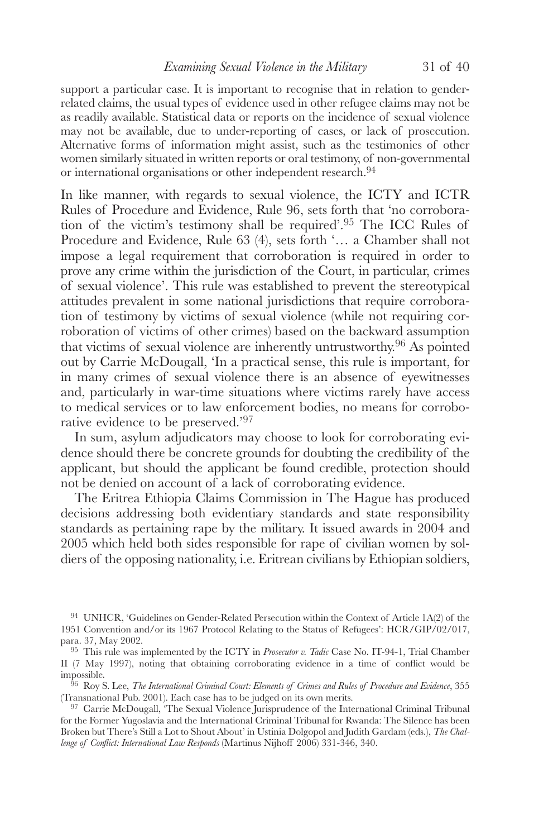support a particular case. It is important to recognise that in relation to genderrelated claims, the usual types of evidence used in other refugee claims may not be as readily available. Statistical data or reports on the incidence of sexual violence may not be available, due to under-reporting of cases, or lack of prosecution. Alternative forms of information might assist, such as the testimonies of other women similarly situated in written reports or oral testimony, of non-governmental or international organisations or other independent research. 94

In like manner, with regards to sexual violence, the ICTY and ICTR Rules of Procedure and Evidence, Rule 96, sets forth that 'no corroboration of the victim's testimony shall be required.<sup>95</sup> The ICC Rules of Procedure and Evidence, Rule 63 (4), sets forth '... a Chamber shall not impose a legal requirement that corroboration is required in order to prove any crime within the jurisdiction of the Court, in particular, crimes of sexual violence'. This rule was established to prevent the stereotypical attitudes prevalent in some national jurisdictions that require corroboration of testimony by victims of sexual violence (while not requiring corroboration of victims of other crimes) based on the backward assumption that victims of sexual violence are inherently untrustworthy. 96 As pointed out by Carrie McDougall, 'In a practical sense, this rule is important, for in many crimes of sexual violence there is an absence of eyewitnesses and, particularly in war-time situations where victims rarely have access to medical services or to law enforcement bodies, no means for corroborative evidence to be preserved. $^{97}$ 

 In sum, asylum adjudicators may choose to look for corroborating evidence should there be concrete grounds for doubting the credibility of the applicant, but should the applicant be found credible, protection should not be denied on account of a lack of corroborating evidence.

 The Eritrea Ethiopia Claims Commission in The Hague has produced decisions addressing both evidentiary standards and state responsibility standards as pertaining rape by the military. It issued awards in 2004 and 2005 which held both sides responsible for rape of civilian women by soldiers of the opposing nationality, i.e. Eritrean civilians by Ethiopian soldiers,

 $94$  UNHCR, 'Guidelines on Gender-Related Persecution within the Context of Article 1A(2) of the 1951 Convention and/or its 1967 Protocol Relating to the Status of Refugees': HCR/GIP/02/017, para. 37, May 2002.

<sup>&</sup>lt;sup>95</sup> This rule was implemented by the ICTY in *Prosecutor v. Tadic* Case No. IT-94-1, Trial Chamber II (7 May 1997), noting that obtaining corroborating evidence in a time of conflict would be impossible.

<sup>&</sup>lt;sup>96</sup> Roy S. Lee, *The International Criminal Court: Elements of Crimes and Rules of Procedure and Evidence*, 355 (Transnational Pub. 2001). Each case has to be judged on its own merits.

<sup>&</sup>lt;sup>97</sup> Carrie McDougall, 'The Sexual Violence Jurisprudence of the International Criminal Tribunal for the Former Yugoslavia and the International Criminal Tribunal for Rwanda: The Silence has been Broken but There's Still a Lot to Shout About ' in Ustinia Dolgopol and Judith Gardam (eds.), *The Challenge of Conflict: International Law Responds* (Martinus Nijhoff 2006) 331-346, 340.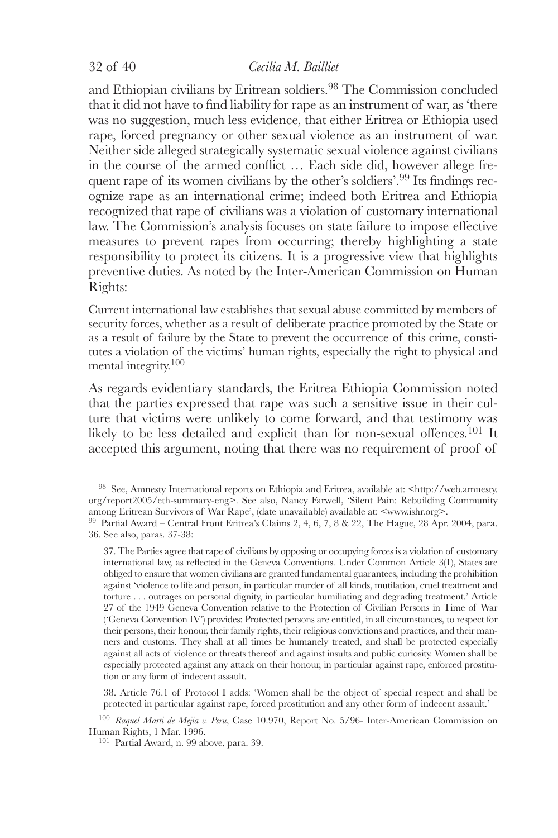and Ethiopian civilians by Eritrean soldiers. 98 The Commission concluded that it did not have to find liability for rape as an instrument of war, as 'there was no suggestion, much less evidence, that either Eritrea or Ethiopia used rape, forced pregnancy or other sexual violence as an instrument of war. Neither side alleged strategically systematic sexual violence against civilians in the course of the armed conflict ... Each side did, however allege frequent rape of its women civilians by the other's soldiers'.<sup>99</sup> Its findings recognize rape as an international crime; indeed both Eritrea and Ethiopia recognized that rape of civilians was a violation of customary international law. The Commission's analysis focuses on state failure to impose effective measures to prevent rapes from occurring; thereby highlighting a state responsibility to protect its citizens. It is a progressive view that highlights preventive duties. As noted by the Inter-American Commission on Human Rights:

 Current international law establishes that sexual abuse committed by members of security forces, whether as a result of deliberate practice promoted by the State or as a result of failure by the State to prevent the occurrence of this crime, constitutes a violation of the victims' human rights, especially the right to physical and mental integrity. 100

As regards evidentiary standards, the Eritrea Ethiopia Commission noted that the parties expressed that rape was such a sensitive issue in their culture that victims were unlikely to come forward, and that testimony was likely to be less detailed and explicit than for non-sexual offences.<sup>101</sup> It accepted this argument, noting that there was no requirement of proof of

 37. The Parties agree that rape of civilians by opposing or occupying forces is a violation of customary international law, as reflected in the Geneva Conventions. Under Common Article 3(1), States are obliged to ensure that women civilians are granted fundamental guarantees, including the prohibition against 'violence to life and person, in particular murder of all kinds, mutilation, cruel treatment and torture . . . outrages on personal dignity, in particular humiliating and degrading treatment.' Article 27 of the 1949 Geneva Convention relative to the Protection of Civilian Persons in Time of War ('Geneva Convention IV') provides: Protected persons are entitled, in all circumstances, to respect for their persons, their honour, their family rights, their religious convictions and practices, and their manners and customs. They shall at all times be humanely treated, and shall be protected especially against all acts of violence or threats thereof and against insults and public curiosity. Women shall be especially protected against any attack on their honour, in particular against rape, enforced prostitution or any form of indecent assault.

 38. Article 76.1 of Protocol I adds: 'Women shall be the object of special respect and shall be protected in particular against rape, forced prostitution and any other form of indecent assault.'

<sup>100</sup> Raquel Marti de Mejia v. Peru, Case 10.970, Report No. 5/96- Inter-American Commission on Human Rights, 1 Mar. 1996.

 $101$  Partial Award, n. 99 above, para. 39.

<sup>98</sup> See, Amnesty International reports on Ethiopia and Eritrea, available at: < http://web.amnesty. org/report2005/eth-summary-eng>. See also, Nancy Farwell, 'Silent Pain: Rebuilding Community among Eritrean Survivors of War Rape', (date unavailable) available at: <www.ishr.org>.

<sup>&</sup>lt;sup>99</sup> Partial Award – Central Front Eritrea's Claims 2, 4, 6, 7, 8  $\&$  22, The Hague, 28 Apr. 2004, para. 36. See also, paras. 37-38: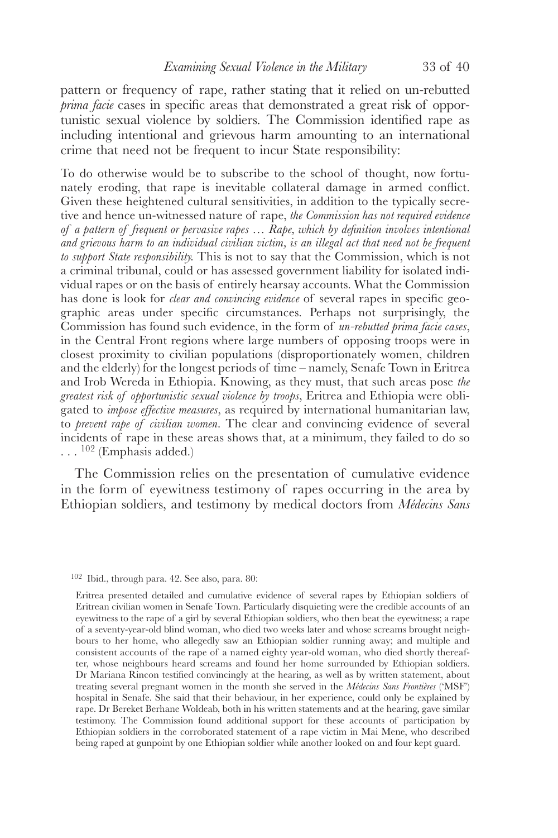pattern or frequency of rape, rather stating that it relied on un-rebutted *prima facie* cases in specific areas that demonstrated a great risk of opportunistic sexual violence by soldiers. The Commission identified rape as including intentional and grievous harm amounting to an international crime that need not be frequent to incur State responsibility:

 To do otherwise would be to subscribe to the school of thought, now fortunately eroding, that rape is inevitable collateral damage in armed conflict. Given these heightened cultural sensitivities, in addition to the typically secretive and hence un-witnessed nature of rape, *the Commission has not required evidence*  of a pattern of frequent or pervasive rapes ... Rape, which by definition involves intentional *and grievous harm to an individual civilian victim, is an illegal act that need not be frequent to support State responsibility.* This is not to say that the Commission, which is not a criminal tribunal, could or has assessed government liability for isolated individual rapes or on the basis of entirely hearsay accounts. What the Commission has done is look for *clear and convincing evidence* of several rapes in specific geographic areas under specific circumstances. Perhaps not surprisingly, the Commission has found such evidence, in the form of *un-rebutted prima facie cases* , in the Central Front regions where large numbers of opposing troops were in closest proximity to civilian populations (disproportionately women, children and the elderly) for the longest periods of time – namely, Senafe Town in Eritrea and Irob Wereda in Ethiopia. Knowing, as they must, that such areas pose *the greatest risk of opportunistic sexual violence by troops* , Eritrea and Ethiopia were obligated to *impose effective measures* , as required by international humanitarian law, to *prevent rape of civilian women* . The clear and convincing evidence of several incidents of rape in these areas shows that, at a minimum, they failed to do so  $\ldots$ <sup>102</sup> (Emphasis added.)

The Commission relies on the presentation of cumulative evidence in the form of eyewitness testimony of rapes occurring in the area by Ethiopian soldiers, and testimony by medical doctors from *Médecins Sans* 

<sup>102</sup> Ibid., through para. 42. See also, para. 80:

Eritrea presented detailed and cumulative evidence of several rapes by Ethiopian soldiers of Eritrean civilian women in Senafe Town. Particularly disquieting were the credible accounts of an eyewitness to the rape of a girl by several Ethiopian soldiers, who then beat the eyewitness; a rape of a seventy-year-old blind woman, who died two weeks later and whose screams brought neighbours to her home, who allegedly saw an Ethiopian soldier running away; and multiple and consistent accounts of the rape of a named eighty year-old woman, who died shortly thereafter, whose neighbours heard screams and found her home surrounded by Ethiopian soldiers. Dr Mariana Rincon testified convincingly at the hearing, as well as by written statement, about treating several pregnant women in the month she served in the *Médecins Sans Frontières* ('MSF') hospital in Senafe. She said that their behaviour, in her experience, could only be explained by rape. Dr Bereket Berhane Woldeab, both in his written statements and at the hearing, gave similar testimony. The Commission found additional support for these accounts of participation by Ethiopian soldiers in the corroborated statement of a rape victim in Mai Mene, who described being raped at gunpoint by one Ethiopian soldier while another looked on and four kept guard.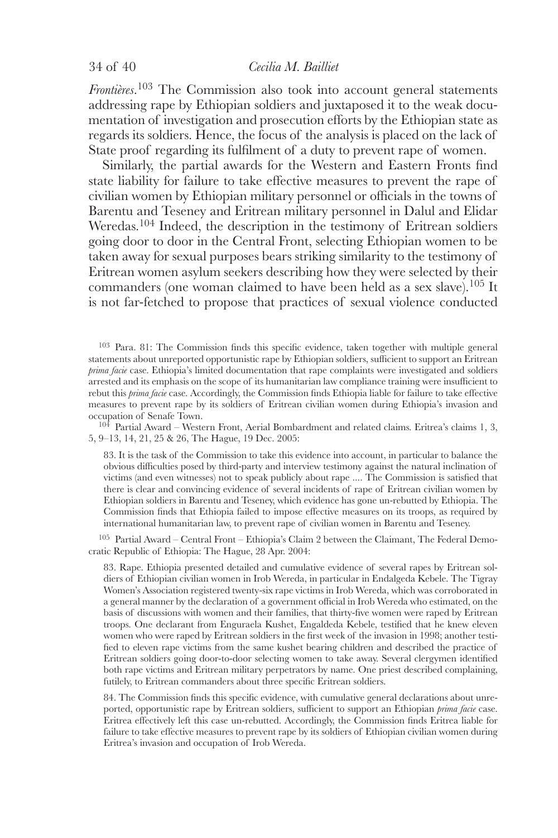*Frontières* . 103 The Commission also took into account general statements addressing rape by Ethiopian soldiers and juxtaposed it to the weak documentation of investigation and prosecution efforts by the Ethiopian state as regards its soldiers. Hence, the focus of the analysis is placed on the lack of State proof regarding its fulfilment of a duty to prevent rape of women.

Similarly, the partial awards for the Western and Eastern Fronts find state liability for failure to take effective measures to prevent the rape of civilian women by Ethiopian military personnel or officials in the towns of Barentu and Teseney and Eritrean military personnel in Dalul and Elidar Weredas.<sup>104</sup> Indeed, the description in the testimony of Eritrean soldiers going door to door in the Central Front, selecting Ethiopian women to be taken away for sexual purposes bears striking similarity to the testimony of Eritrean women asylum seekers describing how they were selected by their commanders (one woman claimed to have been held as a sex slave). 105 It is not far-fetched to propose that practices of sexual violence conducted

5, 9-13, 14, 21, 25 & 26, The Hague, 19 Dec. 2005:

 83. It is the task of the Commission to take this evidence into account, in particular to balance the obvious difficulties posed by third-party and interview testimony against the natural inclination of victims (and even witnesses) not to speak publicly about rape .... The Commission is satisfied that there is clear and convincing evidence of several incidents of rape of Eritrean civilian women by Ethiopian soldiers in Barentu and Teseney, which evidence has gone un-rebutted by Ethiopia. The Commission finds that Ethiopia failed to impose effective measures on its troops, as required by international humanitarian law, to prevent rape of civilian women in Barentu and Teseney.

105 Partial Award – Central Front – Ethiopia's Claim 2 between the Claimant, The Federal Democratic Republic of Ethiopia: The Hague, 28 Apr. 2004:

 83. Rape. Ethiopia presented detailed and cumulative evidence of several rapes by Eritrean soldiers of Ethiopian civilian women in Irob Wereda, in particular in Endalgeda Kebele. The Tigray Women's Association registered twenty-six rape victims in Irob Wereda, which was corroborated in a general manner by the declaration of a government official in Irob Wereda who estimated, on the basis of discussions with women and their families, that thirty-five women were raped by Eritrean troops. One declarant from Enguraela Kushet, Engaldeda Kebele, testified that he knew eleven women who were raped by Eritrean soldiers in the first week of the invasion in 1998; another testified to eleven rape victims from the same kushet bearing children and described the practice of Eritrean soldiers going door-to-door selecting women to take away. Several clergymen identified both rape victims and Eritrean military perpetrators by name. One priest described complaining, futilely, to Eritrean commanders about three specific Eritrean soldiers.

84. The Commission finds this specific evidence, with cumulative general declarations about unreported, opportunistic rape by Eritrean soldiers, sufficient to support an Ethiopian *prima facie* case. Eritrea effectively left this case un-rebutted. Accordingly, the Commission finds Eritrea liable for failure to take effective measures to prevent rape by its soldiers of Ethiopian civilian women during Eritrea's invasion and occupation of Irob Wereda.

<sup>&</sup>lt;sup>103</sup> Para. 81: The Commission finds this specific evidence, taken together with multiple general statements about unreported opportunistic rape by Ethiopian soldiers, sufficient to support an Eritrean *prima facie* case. Ethiopia's limited documentation that rape complaints were investigated and soldiers arrested and its emphasis on the scope of its humanitarian law compliance training were insufficient to rebut this *prima facie* case. Accordingly, the Commission finds Ethiopia liable for failure to take effective measures to prevent rape by its soldiers of Eritrean civilian women during Ethiopia's invasion and occupation of Senafe Town. 104 Partial Award – Western Front, Aerial Bombardment and related claims. Eritrea's claims 1, 3,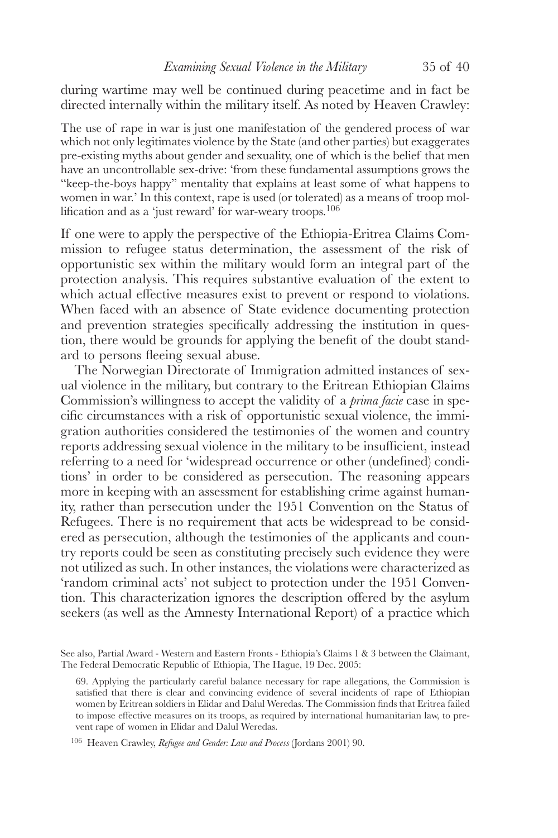during wartime may well be continued during peacetime and in fact be directed internally within the military itself. As noted by Heaven Crawley:

 The use of rape in war is just one manifestation of the gendered process of war which not only legitimates violence by the State (and other parties) but exaggerates pre-existing myths about gender and sexuality, one of which is the belief that men have an uncontrollable sex-drive: 'from these fundamental assumptions grows the "keep-the-boys happy" mentality that explains at least some of what happens to women in war.' In this context, rape is used (or tolerated) as a means of troop mollification and as a 'just reward' for war-weary troops.  $106$ 

If one were to apply the perspective of the Ethiopia-Eritrea Claims Commission to refugee status determination, the assessment of the risk of opportunistic sex within the military would form an integral part of the protection analysis. This requires substantive evaluation of the extent to which actual effective measures exist to prevent or respond to violations. When faced with an absence of State evidence documenting protection and prevention strategies specifically addressing the institution in question, there would be grounds for applying the benefit of the doubt standard to persons fleeing sexual abuse.

 The Norwegian Directorate of Immigration admitted instances of sexual violence in the military, but contrary to the Eritrean Ethiopian Claims Commission's willingness to accept the validity of a *prima facie* case in specific circumstances with a risk of opportunistic sexual violence, the immigration authorities considered the testimonies of the women and country reports addressing sexual violence in the military to be insufficient, instead referring to a need for 'widespread occurrence or other (undefined) conditions' in order to be considered as persecution. The reasoning appears more in keeping with an assessment for establishing crime against humanity, rather than persecution under the 1951 Convention on the Status of Refugees. There is no requirement that acts be widespread to be considered as persecution, although the testimonies of the applicants and country reports could be seen as constituting precisely such evidence they were not utilized as such. In other instances, the violations were characterized as 'random criminal acts' not subject to protection under the 1951 Convention. This characterization ignores the description offered by the asylum seekers (as well as the Amnesty International Report) of a practice which

See also, Partial Award - Western and Eastern Fronts - Ethiopia's Claims 1 & 3 between the Claimant, The Federal Democratic Republic of Ethiopia, The Hague, 19 Dec. 2005:

 <sup>69.</sup> Applying the particularly careful balance necessary for rape allegations, the Commission is satisfied that there is clear and convincing evidence of several incidents of rape of Ethiopian women by Eritrean soldiers in Elidar and Dalul Weredas. The Commission finds that Eritrea failed to impose effective measures on its troops, as required by international humanitarian law, to prevent rape of women in Elidar and Dalul Weredas.

<sup>106</sup> Heaven Crawley, *Refugee and Gender: Law and Process* (Jordans 2001) 90.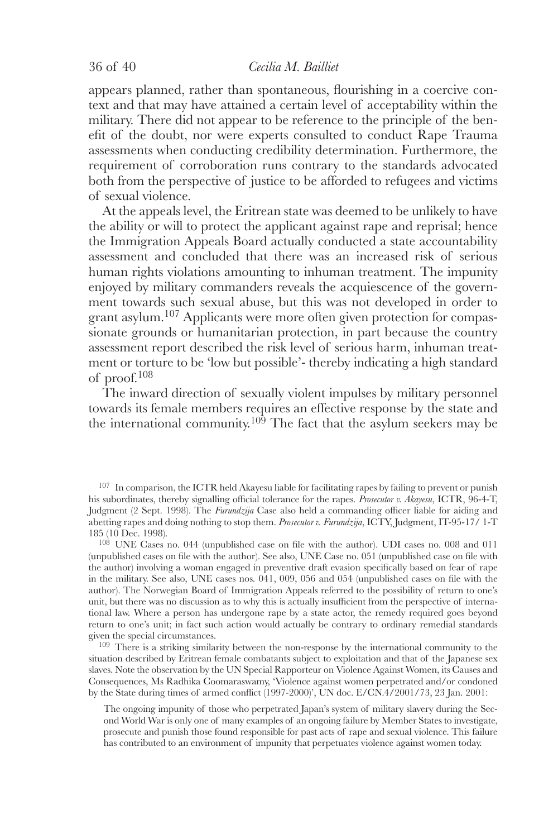appears planned, rather than spontaneous, flourishing in a coercive con-

text and that may have attained a certain level of acceptability within the military. There did not appear to be reference to the principle of the benefit of the doubt, nor were experts consulted to conduct Rape Trauma assessments when conducting credibility determination. Furthermore, the requirement of corroboration runs contrary to the standards advocated both from the perspective of justice to be afforded to refugees and victims of sexual violence.

 At the appeals level, the Eritrean state was deemed to be unlikely to have the ability or will to protect the applicant against rape and reprisal; hence the Immigration Appeals Board actually conducted a state accountability assessment and concluded that there was an increased risk of serious human rights violations amounting to inhuman treatment. The impunity enjoyed by military commanders reveals the acquiescence of the government towards such sexual abuse, but this was not developed in order to grant asylum.<sup>107</sup> Applicants were more often given protection for compassionate grounds or humanitarian protection, in part because the country assessment report described the risk level of serious harm, inhuman treatment or torture to be 'low but possible'-thereby indicating a high standard of proof. $108$ 

 The inward direction of sexually violent impulses by military personnel towards its female members requires an effective response by the state and the international community.  $109$  The fact that the asylum seekers may be

107 In comparison, the ICTR held Akayesu liable for facilitating rapes by failing to prevent or punish his subordinates, thereby signalling official tolerance for the rapes. *Prosecutor v. Akayesu*, ICTR, 96-4-T, Judgment (2 Sept. 1998). The *Furundzija* Case also held a commanding officer liable for aiding and abetting rapes and doing nothing to stop them. *Prosecutor v. Furundzija* , ICTY, Judgment, IT-95-17/ 1-T  $185$  (10 Dec. 1998). 108 UNE Cases no. 044 (unpublished case on file with the author). UDI cases no. 008 and 011

(unpublished cases on file with the author). See also, UNE Case no. 051 (unpublished case on file with the author) involving a woman engaged in preventive draft evasion specifically based on fear of rape in the military. See also, UNE cases nos.  $041$ ,  $009$ ,  $056$  and  $054$  (unpublished cases on file with the author). The Norwegian Board of Immigration Appeals referred to the possibility of return to one's unit, but there was no discussion as to why this is actually insufficient from the perspective of international law. Where a person has undergone rape by a state actor, the remedy required goes beyond return to one's unit; in fact such action would actually be contrary to ordinary remedial standards given the special circumstances.<br><sup>109</sup> There is a striking similarity between the non-response by the international community to the

situation described by Eritrean female combatants subject to exploitation and that of the Japanese sex slaves. Note the observation by the UN Special Rapporteur on Violence Against Women, its Causes and Consequences, Ms Radhika Coomaraswamy, ' Violence against women perpetrated and/or condoned by the State during times of armed conflict  $(1997-2000)$ , UN doc. E/CN. $4/2001/73$ , 23 Jan. 2001:

 The ongoing impunity of those who perpetrated Japan's system of military slavery during the Second World War is only one of many examples of an ongoing failure by Member States to investigate, prosecute and punish those found responsible for past acts of rape and sexual violence. This failure has contributed to an environment of impunity that perpetuates violence against women today.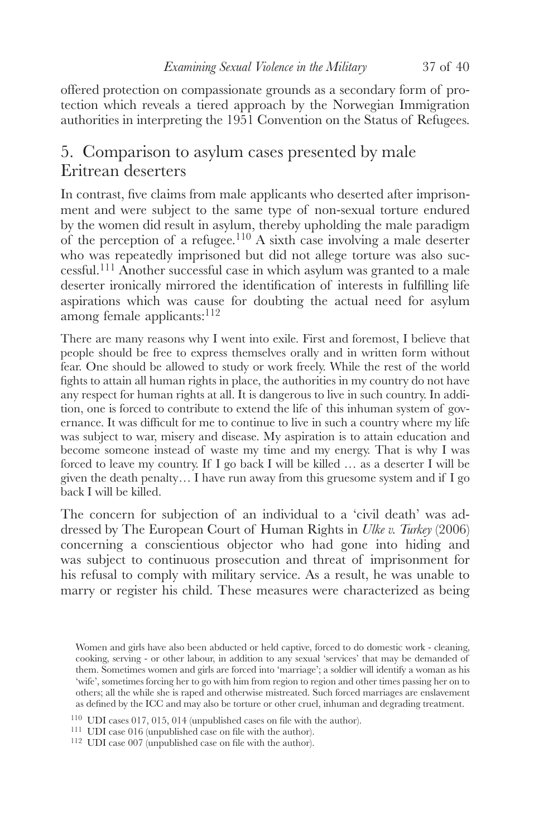offered protection on compassionate grounds as a secondary form of protection which reveals a tiered approach by the Norwegian Immigration authorities in interpreting the 1951 Convention on the Status of Refugees.

## 5. Comparison to asylum cases presented by male Eritrean deserters

In contrast, five claims from male applicants who deserted after imprisonment and were subject to the same type of non-sexual torture endured by the women did result in asylum, thereby upholding the male paradigm of the perception of a refugee.  $110$  A sixth case involving a male deserter who was repeatedly imprisoned but did not allege torture was also successful. 111 Another successful case in which asylum was granted to a male deserter ironically mirrored the identification of interests in fulfilling life aspirations which was cause for doubting the actual need for asylum among female applicants: <sup>112</sup>

 There are many reasons why I went into exile. First and foremost, I believe that people should be free to express themselves orally and in written form without fear. One should be allowed to study or work freely. While the rest of the world fights to attain all human rights in place, the authorities in my country do not have any respect for human rights at all. It is dangerous to live in such country. In addition, one is forced to contribute to extend the life of this inhuman system of governance. It was difficult for me to continue to live in such a country where my life was subject to war, misery and disease. My aspiration is to attain education and become someone instead of waste my time and my energy. That is why I was forced to leave my country. If I go back I will be killed … as a deserter I will be given the death penalty … I have run away from this gruesome system and if I go back I will be killed.

The concern for subjection of an individual to a 'civil death' was addressed by The European Court of Human Rights in *Ulke v. Turkey* (2006) concerning a conscientious objector who had gone into hiding and was subject to continuous prosecution and threat of imprisonment for his refusal to comply with military service. As a result, he was unable to marry or register his child. These measures were characterized as being

- <sup>110</sup> UDI cases 017, 015, 014 (unpublished cases on file with the author).<br><sup>111</sup> UDI case 016 (unpublished case on file with the author).<br><sup>112</sup> UDI case 007 (unpublished case on file with the author).
- 
- 

Women and girls have also been abducted or held captive, forced to do domestic work - cleaning, cooking, serving - or other labour, in addition to any sexual 'services' that may be demanded of them. Sometimes women and girls are forced into 'marriage'; a soldier will identify a woman as his 'wife', sometimes forcing her to go with him from region to region and other times passing her on to others; all the while she is raped and otherwise mistreated. Such forced marriages are enslavement as defined by the ICC and may also be torture or other cruel, inhuman and degrading treatment.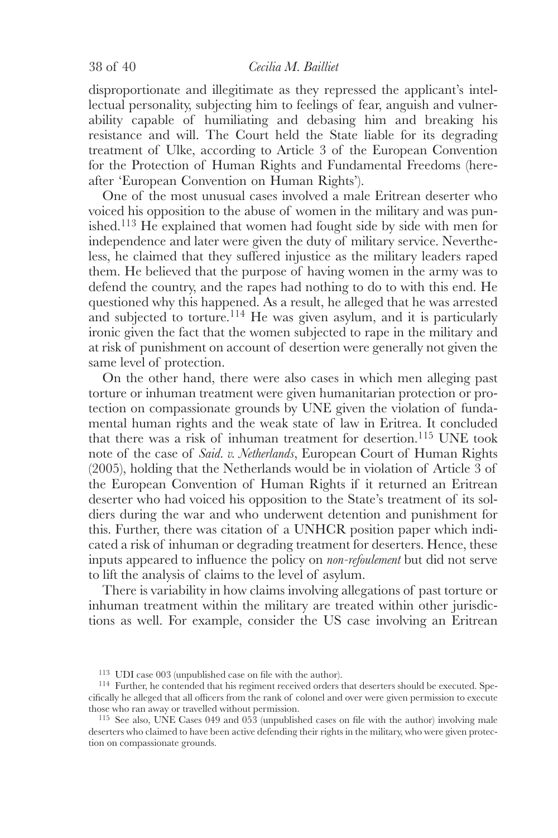disproportionate and illegitimate as they repressed the applicant's intellectual personality, subjecting him to feelings of fear, anguish and vulnerability capable of humiliating and debasing him and breaking his resistance and will. The Court held the State liable for its degrading treatment of Ulke, according to Article 3 of the European Convention for the Protection of Human Rights and Fundamental Freedoms (hereafter 'European Convention on Human Rights').

 One of the most unusual cases involved a male Eritrean deserter who voiced his opposition to the abuse of women in the military and was punished. 113 He explained that women had fought side by side with men for independence and later were given the duty of military service. Nevertheless, he claimed that they suffered injustice as the military leaders raped them. He believed that the purpose of having women in the army was to defend the country, and the rapes had nothing to do to with this end. He questioned why this happened. As a result, he alleged that he was arrested and subjected to torture.<sup>114</sup> He was given asylum, and it is particularly ironic given the fact that the women subjected to rape in the military and at risk of punishment on account of desertion were generally not given the same level of protection.

 On the other hand, there were also cases in which men alleging past torture or inhuman treatment were given humanitarian protection or protection on compassionate grounds by UNE given the violation of fundamental human rights and the weak state of law in Eritrea. It concluded that there was a risk of inhuman treatment for desertion. 115 UNE took note of the case of *Said. v. Netherlands* , European Court of Human Rights (2005), holding that the Netherlands would be in violation of Article 3 of the European Convention of Human Rights if it returned an Eritrean deserter who had voiced his opposition to the State's treatment of its soldiers during the war and who underwent detention and punishment for this. Further, there was citation of a UNHCR position paper which indicated a risk of inhuman or degrading treatment for deserters. Hence, these inputs appeared to influence the policy on *non-refoulement* but did not serve to lift the analysis of claims to the level of asylum.

 There is variability in how claims involving allegations of past torture or inhuman treatment within the military are treated within other jurisdictions as well. For example, consider the US case involving an Eritrean

<sup>&</sup>lt;sup>113</sup> UDI case 003 (unpublished case on file with the author).<br><sup>114</sup> Further, he contended that his regiment received orders that deserters should be executed. Specifically he alleged that all officers from the rank of colonel and over were given permission to execute those who ran away or travelled without permission.

 $115$  See also, UNE Cases 049 and 053 (unpublished cases on file with the author) involving male deserters who claimed to have been active defending their rights in the military, who were given protection on compassionate grounds.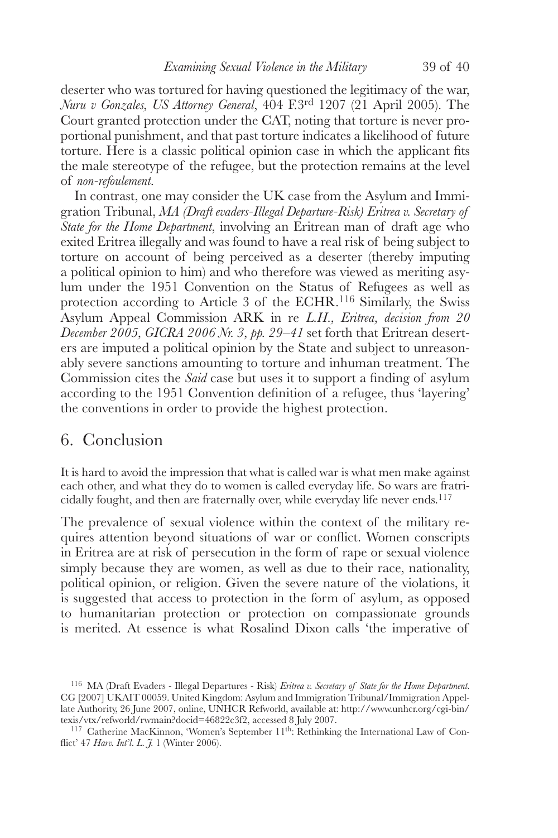deserter who was tortured for having questioned the legitimacy of the war, *Nuru v Gonzales, US Attorney General*, 404 F.3<sup>rd</sup> 1207 (21 April 2005). The Court granted protection under the CAT, noting that torture is never proportional punishment, and that past torture indicates a likelihood of future torture. Here is a classic political opinion case in which the applicant fits the male stereotype of the refugee, but the protection remains at the level of *non-refoulement* .

 In contrast, one may consider the UK case from the Asylum and Immigration Tribunal, *MA (Draft evaders-Illegal Departure-Risk) Eritrea v. Secretary of State for the Home Department*, involving an Eritrean man of draft age who exited Eritrea illegally and was found to have a real risk of being subject to torture on account of being perceived as a deserter (thereby imputing a political opinion to him) and who therefore was viewed as meriting asylum under the 1951 Convention on the Status of Refugees as well as protection according to Article 3 of the ECHR. 116 Similarly, the Swiss Asylum Appeal Commission ARK in re *L.H., Eritrea, decision from 20 December 2005, GICRA 2006 Nr. 3, pp. 29 – 41* set forth that Eritrean deserters are imputed a political opinion by the State and subject to unreasonably severe sanctions amounting to torture and inhuman treatment. The Commission cites the *Said* case but uses it to support a finding of asylum according to the 1951 Convention definition of a refugee, thus 'layering' the conventions in order to provide the highest protection.

## 6. Conclusion

 It is hard to avoid the impression that what is called war is what men make against each other, and what they do to women is called everyday life. So wars are fratricidally fought, and then are fraternally over, while everyday life never ends. 117

The prevalence of sexual violence within the context of the military requires attention beyond situations of war or conflict. Women conscripts in Eritrea are at risk of persecution in the form of rape or sexual violence simply because they are women, as well as due to their race, nationality, political opinion, or religion. Given the severe nature of the violations, it is suggested that access to protection in the form of asylum, as opposed to humanitarian protection or protection on compassionate grounds is merited. At essence is what Rosalind Dixon calls 'the imperative of

<sup>116</sup> MA (Draft Evaders - Illegal Departures - Risk) *Eritrea v. Secretary of State for the Home Department* . CG [2007] UKAIT 00059. United Kingdom: Asylum and Immigration Tribunal/Immigration Appellate Authority, 26 June 2007, online, UNHCR Refworld, available at: http://www.unhcr.org/cgi-bin/

<sup>&</sup>lt;sup>117</sup> Catherine MacKinnon, 'Women's September 11<sup>th</sup>: Rethinking the International Law of Conflict' 47 *Harv. Int'l. L.*  $\tilde{f}$ . 1 (Winter 2006).